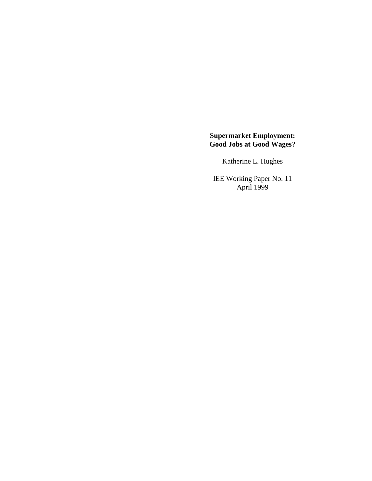# **Supermarket Employment: Good Jobs at Good Wages?**

Katherine L. Hughes

IEE Working Paper No. 11 April 1999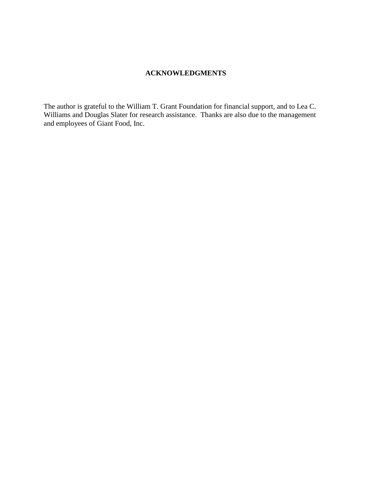# **ACKNOWLEDGMENTS**

The author is grateful to the William T. Grant Foundation for financial support, and to Lea C. Williams and Douglas Slater for research assistance. Thanks are also due to the management and employees of Giant Food, Inc.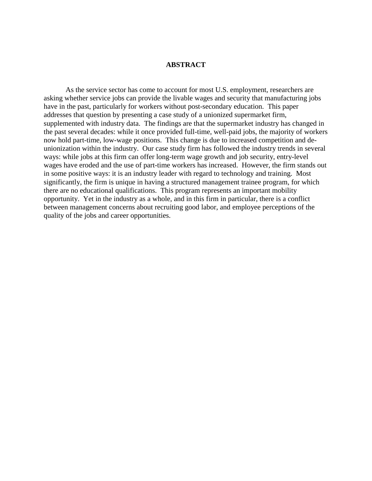## **ABSTRACT**

As the service sector has come to account for most U.S. employment, researchers are asking whether service jobs can provide the livable wages and security that manufacturing jobs have in the past, particularly for workers without post-secondary education. This paper addresses that question by presenting a case study of a unionized supermarket firm, supplemented with industry data. The findings are that the supermarket industry has changed in the past several decades: while it once provided full-time, well-paid jobs, the majority of workers now hold part-time, low-wage positions. This change is due to increased competition and deunionization within the industry. Our case study firm has followed the industry trends in several ways: while jobs at this firm can offer long-term wage growth and job security, entry-level wages have eroded and the use of part-time workers has increased. However, the firm stands out in some positive ways: it is an industry leader with regard to technology and training. Most significantly, the firm is unique in having a structured management trainee program, for which there are no educational qualifications. This program represents an important mobility opportunity. Yet in the industry as a whole, and in this firm in particular, there is a conflict between management concerns about recruiting good labor, and employee perceptions of the quality of the jobs and career opportunities.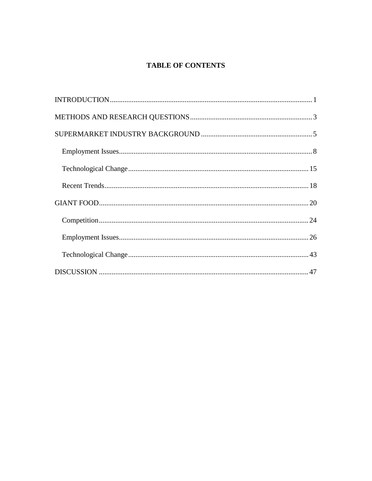# **TABLE OF CONTENTS**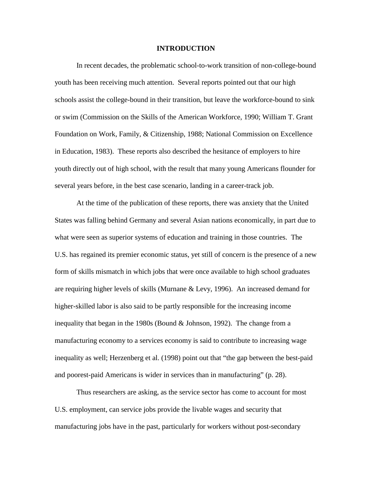#### **INTRODUCTION**

In recent decades, the problematic school-to-work transition of non-college-bound youth has been receiving much attention. Several reports pointed out that our high schools assist the college-bound in their transition, but leave the workforce-bound to sink or swim (Commission on the Skills of the American Workforce, 1990; William T. Grant Foundation on Work, Family, & Citizenship, 1988; National Commission on Excellence in Education, 1983). These reports also described the hesitance of employers to hire youth directly out of high school, with the result that many young Americans flounder for several years before, in the best case scenario, landing in a career-track job.

At the time of the publication of these reports, there was anxiety that the United States was falling behind Germany and several Asian nations economically, in part due to what were seen as superior systems of education and training in those countries. The U.S. has regained its premier economic status, yet still of concern is the presence of a new form of skills mismatch in which jobs that were once available to high school graduates are requiring higher levels of skills (Murnane & Levy, 1996). An increased demand for higher-skilled labor is also said to be partly responsible for the increasing income inequality that began in the 1980s (Bound  $&$  Johnson, 1992). The change from a manufacturing economy to a services economy is said to contribute to increasing wage inequality as well; Herzenberg et al. (1998) point out that "the gap between the best-paid and poorest-paid Americans is wider in services than in manufacturing" (p. 28).

Thus researchers are asking, as the service sector has come to account for most U.S. employment, can service jobs provide the livable wages and security that manufacturing jobs have in the past, particularly for workers without post-secondary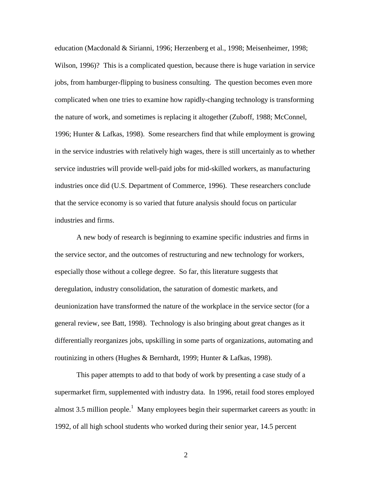education (Macdonald & Sirianni, 1996; Herzenberg et al., 1998; Meisenheimer, 1998; Wilson, 1996)? This is a complicated question, because there is huge variation in service jobs, from hamburger-flipping to business consulting. The question becomes even more complicated when one tries to examine how rapidly-changing technology is transforming the nature of work, and sometimes is replacing it altogether (Zuboff, 1988; McConnel, 1996; Hunter & Lafkas, 1998). Some researchers find that while employment is growing in the service industries with relatively high wages, there is still uncertainly as to whether service industries will provide well-paid jobs for mid-skilled workers, as manufacturing industries once did (U.S. Department of Commerce, 1996). These researchers conclude that the service economy is so varied that future analysis should focus on particular industries and firms.

A new body of research is beginning to examine specific industries and firms in the service sector, and the outcomes of restructuring and new technology for workers, especially those without a college degree. So far, this literature suggests that deregulation, industry consolidation, the saturation of domestic markets, and deunionization have transformed the nature of the workplace in the service sector (for a general review, see Batt, 1998). Technology is also bringing about great changes as it differentially reorganizes jobs, upskilling in some parts of organizations, automating and routinizing in others (Hughes & Bernhardt, 1999; Hunter & Lafkas, 1998).

This paper attempts to add to that body of work by presenting a case study of a supermarket firm, supplemented with industry data. In 1996, retail food stores employed almost 3.5 million people.<sup>1</sup> Many employees begin their supermarket careers as youth: in 1992, of all high school students who worked during their senior year, 14.5 percent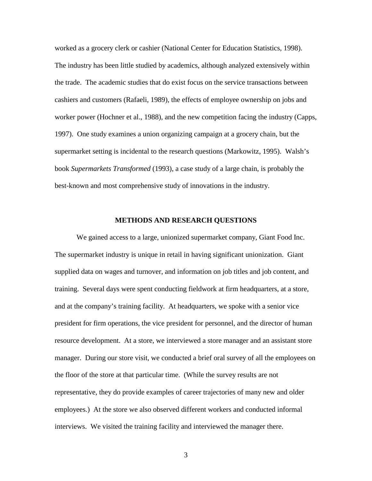worked as a grocery clerk or cashier (National Center for Education Statistics, 1998). The industry has been little studied by academics, although analyzed extensively within the trade. The academic studies that do exist focus on the service transactions between cashiers and customers (Rafaeli, 1989), the effects of employee ownership on jobs and worker power (Hochner et al., 1988), and the new competition facing the industry (Capps, 1997). One study examines a union organizing campaign at a grocery chain, but the supermarket setting is incidental to the research questions (Markowitz, 1995). Walsh's book *Supermarkets Transformed* (1993), a case study of a large chain, is probably the best-known and most comprehensive study of innovations in the industry.

# **METHODS AND RESEARCH QUESTIONS**

We gained access to a large, unionized supermarket company, Giant Food Inc. The supermarket industry is unique in retail in having significant unionization. Giant supplied data on wages and turnover, and information on job titles and job content, and training. Several days were spent conducting fieldwork at firm headquarters, at a store, and at the company's training facility. At headquarters, we spoke with a senior vice president for firm operations, the vice president for personnel, and the director of human resource development. At a store, we interviewed a store manager and an assistant store manager. During our store visit, we conducted a brief oral survey of all the employees on the floor of the store at that particular time. (While the survey results are not representative, they do provide examples of career trajectories of many new and older employees.) At the store we also observed different workers and conducted informal interviews. We visited the training facility and interviewed the manager there.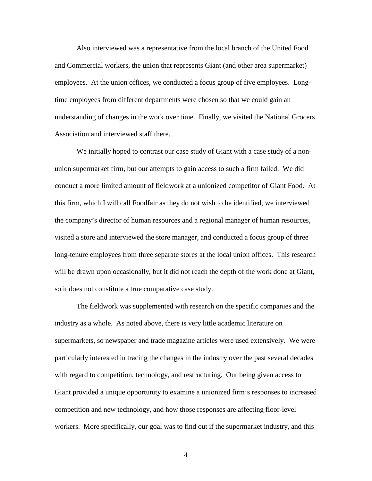Also interviewed was a representative from the local branch of the United Food and Commercial workers, the union that represents Giant (and other area supermarket) employees. At the union offices, we conducted a focus group of five employees. Longtime employees from different departments were chosen so that we could gain an understanding of changes in the work over time. Finally, we visited the National Grocers Association and interviewed staff there.

We initially hoped to contrast our case study of Giant with a case study of a nonunion supermarket firm, but our attempts to gain access to such a firm failed. We did conduct a more limited amount of fieldwork at a unionized competitor of Giant Food. At this firm, which I will call Foodfair as they do not wish to be identified, we interviewed the company's director of human resources and a regional manager of human resources, visited a store and interviewed the store manager, and conducted a focus group of three long-tenure employees from three separate stores at the local union offices. This research will be drawn upon occasionally, but it did not reach the depth of the work done at Giant, so it does not constitute a true comparative case study.

The fieldwork was supplemented with research on the specific companies and the industry as a whole. As noted above, there is very little academic literature on supermarkets, so newspaper and trade magazine articles were used extensively. We were particularly interested in tracing the changes in the industry over the past several decades with regard to competition, technology, and restructuring. Our being given access to Giant provided a unique opportunity to examine a unionized firm's responses to increased competition and new technology, and how those responses are affecting floor-level workers. More specifically, our goal was to find out if the supermarket industry, and this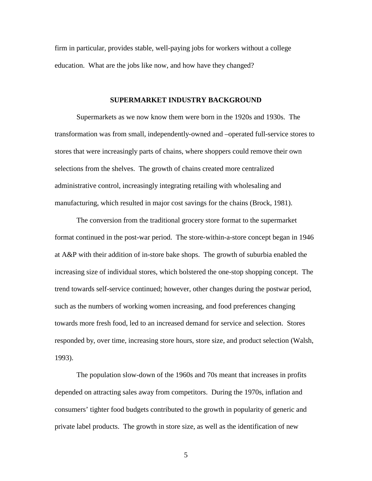firm in particular, provides stable, well-paying jobs for workers without a college education. What are the jobs like now, and how have they changed?

# **SUPERMARKET INDUSTRY BACKGROUND**

Supermarkets as we now know them were born in the 1920s and 1930s. The transformation was from small, independently-owned and –operated full-service stores to stores that were increasingly parts of chains, where shoppers could remove their own selections from the shelves. The growth of chains created more centralized administrative control, increasingly integrating retailing with wholesaling and manufacturing, which resulted in major cost savings for the chains (Brock, 1981).

The conversion from the traditional grocery store format to the supermarket format continued in the post-war period. The store-within-a-store concept began in 1946 at A&P with their addition of in-store bake shops. The growth of suburbia enabled the increasing size of individual stores, which bolstered the one-stop shopping concept. The trend towards self-service continued; however, other changes during the postwar period, such as the numbers of working women increasing, and food preferences changing towards more fresh food, led to an increased demand for service and selection. Stores responded by, over time, increasing store hours, store size, and product selection (Walsh, 1993).

The population slow-down of the 1960s and 70s meant that increases in profits depended on attracting sales away from competitors. During the 1970s, inflation and consumers' tighter food budgets contributed to the growth in popularity of generic and private label products. The growth in store size, as well as the identification of new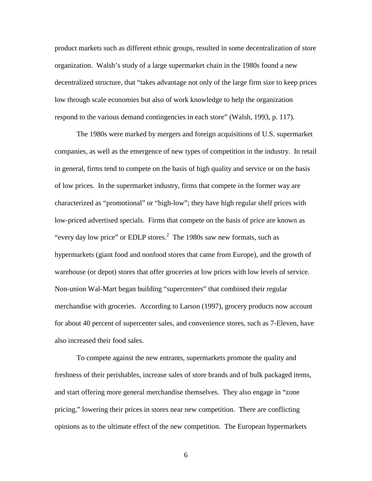product markets such as different ethnic groups, resulted in some decentralization of store organization. Walsh's study of a large supermarket chain in the 1980s found a new decentralized structure, that "takes advantage not only of the large firm size to keep prices low through scale economies but also of work knowledge to help the organization respond to the various demand contingencies in each store" (Walsh, 1993, p. 117).

The 1980s were marked by mergers and foreign acquisitions of U.S. supermarket companies, as well as the emergence of new types of competition in the industry. In retail in general, firms tend to compete on the basis of high quality and service or on the basis of low prices. In the supermarket industry, firms that compete in the former way are characterized as "promotional" or "high-low"; they have high regular shelf prices with low-priced advertised specials. Firms that compete on the basis of price are known as "every day low price" or EDLP stores. $<sup>2</sup>$  The 1980s saw new formats, such as</sup> hypermarkets (giant food and nonfood stores that came from Europe), and the growth of warehouse (or depot) stores that offer groceries at low prices with low levels of service. Non-union Wal-Mart began building "supercenters" that combined their regular merchandise with groceries. According to Larson (1997), grocery products now account for about 40 percent of supercenter sales, and convenience stores, such as 7-Eleven, have also increased their food sales.

To compete against the new entrants, supermarkets promote the quality and freshness of their perishables, increase sales of store brands and of bulk packaged items, and start offering more general merchandise themselves. They also engage in "zone pricing," lowering their prices in stores near new competition. There are conflicting opinions as to the ultimate effect of the new competition. The European hypermarkets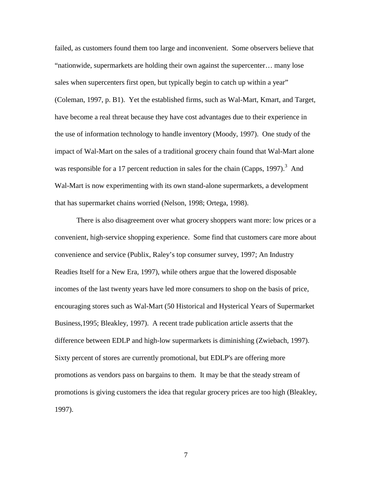failed, as customers found them too large and inconvenient. Some observers believe that "nationwide, supermarkets are holding their own against the supercenter… many lose sales when supercenters first open, but typically begin to catch up within a year" (Coleman, 1997, p. B1). Yet the established firms, such as Wal-Mart, Kmart, and Target, have become a real threat because they have cost advantages due to their experience in the use of information technology to handle inventory (Moody, 1997). One study of the impact of Wal-Mart on the sales of a traditional grocery chain found that Wal-Mart alone was responsible for a 17 percent reduction in sales for the chain (Capps, 1997).<sup>3</sup> And Wal-Mart is now experimenting with its own stand-alone supermarkets, a development that has supermarket chains worried (Nelson, 1998; Ortega, 1998).

There is also disagreement over what grocery shoppers want more: low prices or a convenient, high-service shopping experience. Some find that customers care more about convenience and service (Publix, Raley's top consumer survey, 1997; An Industry Readies Itself for a New Era, 1997), while others argue that the lowered disposable incomes of the last twenty years have led more consumers to shop on the basis of price, encouraging stores such as Wal-Mart (50 Historical and Hysterical Years of Supermarket Business,1995; Bleakley, 1997). A recent trade publication article asserts that the difference between EDLP and high-low supermarkets is diminishing (Zwiebach, 1997). Sixty percent of stores are currently promotional, but EDLP's are offering more promotions as vendors pass on bargains to them. It may be that the steady stream of promotions is giving customers the idea that regular grocery prices are too high (Bleakley, 1997).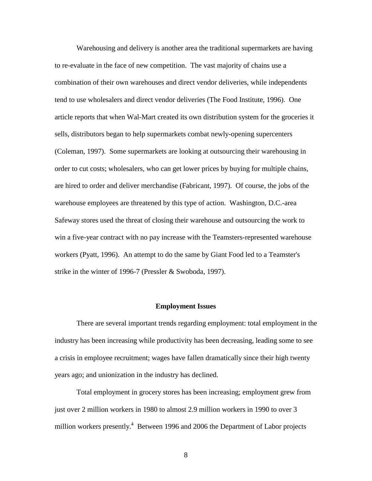Warehousing and delivery is another area the traditional supermarkets are having to re-evaluate in the face of new competition. The vast majority of chains use a combination of their own warehouses and direct vendor deliveries, while independents tend to use wholesalers and direct vendor deliveries (The Food Institute, 1996). One article reports that when Wal-Mart created its own distribution system for the groceries it sells, distributors began to help supermarkets combat newly-opening supercenters (Coleman, 1997). Some supermarkets are looking at outsourcing their warehousing in order to cut costs; wholesalers, who can get lower prices by buying for multiple chains, are hired to order and deliver merchandise (Fabricant, 1997). Of course, the jobs of the warehouse employees are threatened by this type of action. Washington, D.C.-area Safeway stores used the threat of closing their warehouse and outsourcing the work to win a five-year contract with no pay increase with the Teamsters-represented warehouse workers (Pyatt, 1996). An attempt to do the same by Giant Food led to a Teamster's strike in the winter of 1996-7 (Pressler & Swoboda, 1997).

#### **Employment Issues**

There are several important trends regarding employment: total employment in the industry has been increasing while productivity has been decreasing, leading some to see a crisis in employee recruitment; wages have fallen dramatically since their high twenty years ago; and unionization in the industry has declined.

Total employment in grocery stores has been increasing; employment grew from just over 2 million workers in 1980 to almost 2.9 million workers in 1990 to over 3 million workers presently.<sup>4</sup> Between 1996 and 2006 the Department of Labor projects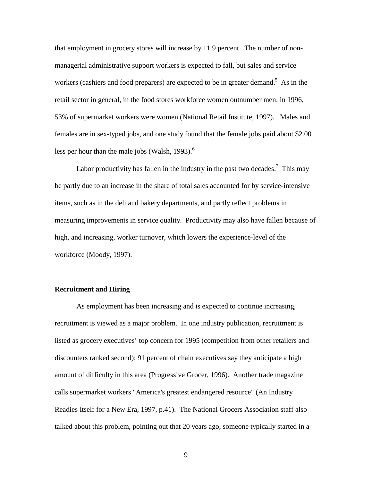that employment in grocery stores will increase by 11.9 percent. The number of nonmanagerial administrative support workers is expected to fall, but sales and service workers (cashiers and food preparers) are expected to be in greater demand.<sup>5</sup> As in the retail sector in general, in the food stores workforce women outnumber men: in 1996, 53% of supermarket workers were women (National Retail Institute, 1997). Males and females are in sex-typed jobs, and one study found that the female jobs paid about \$2.00 less per hour than the male jobs (Walsh, 1993). $<sup>6</sup>$ </sup>

Labor productivity has fallen in the industry in the past two decades.<sup>7</sup> This may be partly due to an increase in the share of total sales accounted for by service-intensive items, such as in the deli and bakery departments, and partly reflect problems in measuring improvements in service quality. Productivity may also have fallen because of high, and increasing, worker turnover, which lowers the experience-level of the workforce (Moody, 1997).

# **Recruitment and Hiring**

As employment has been increasing and is expected to continue increasing, recruitment is viewed as a major problem. In one industry publication, recruitment is listed as grocery executives' top concern for 1995 (competition from other retailers and discounters ranked second): 91 percent of chain executives say they anticipate a high amount of difficulty in this area (Progressive Grocer, 1996). Another trade magazine calls supermarket workers "America's greatest endangered resource" (An Industry Readies Itself for a New Era, 1997, p.41). The National Grocers Association staff also talked about this problem, pointing out that 20 years ago, someone typically started in a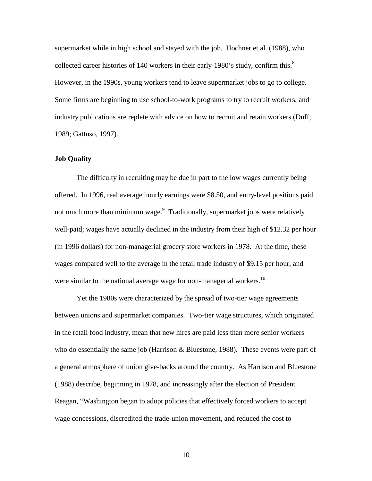supermarket while in high school and stayed with the job. Hochner et al. (1988), who collected career histories of 140 workers in their early-1980's study, confirm this. $8$ However, in the 1990s, young workers tend to leave supermarket jobs to go to college. Some firms are beginning to use school-to-work programs to try to recruit workers, and industry publications are replete with advice on how to recruit and retain workers (Duff, 1989; Gattuso, 1997).

#### **Job Quality**

The difficulty in recruiting may be due in part to the low wages currently being offered. In 1996, real average hourly earnings were \$8.50, and entry-level positions paid not much more than minimum wage.<sup>9</sup> Traditionally, supermarket jobs were relatively well-paid; wages have actually declined in the industry from their high of \$12.32 per hour (in 1996 dollars) for non-managerial grocery store workers in 1978. At the time, these wages compared well to the average in the retail trade industry of \$9.15 per hour, and were similar to the national average wage for non-managerial workers.<sup>10</sup>

Yet the 1980s were characterized by the spread of two-tier wage agreements between unions and supermarket companies. Two-tier wage structures, which originated in the retail food industry, mean that new hires are paid less than more senior workers who do essentially the same job (Harrison  $\&$  Bluestone, 1988). These events were part of a general atmosphere of union give-backs around the country. As Harrison and Bluestone (1988) describe, beginning in 1978, and increasingly after the election of President Reagan, "Washington began to adopt policies that effectively forced workers to accept wage concessions, discredited the trade-union movement, and reduced the cost to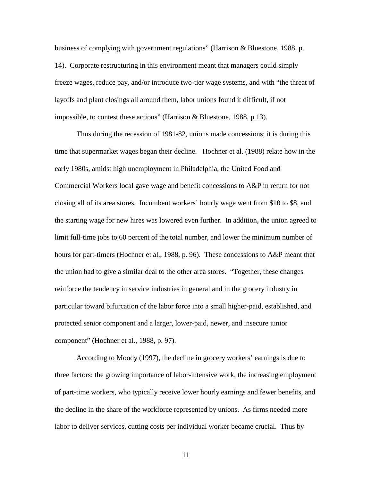business of complying with government regulations" (Harrison & Bluestone, 1988, p. 14). Corporate restructuring in this environment meant that managers could simply freeze wages, reduce pay, and/or introduce two-tier wage systems, and with "the threat of layoffs and plant closings all around them, labor unions found it difficult, if not impossible, to contest these actions" (Harrison & Bluestone, 1988, p.13).

Thus during the recession of 1981-82, unions made concessions; it is during this time that supermarket wages began their decline. Hochner et al. (1988) relate how in the early 1980s, amidst high unemployment in Philadelphia, the United Food and Commercial Workers local gave wage and benefit concessions to A&P in return for not closing all of its area stores. Incumbent workers' hourly wage went from \$10 to \$8, and the starting wage for new hires was lowered even further. In addition, the union agreed to limit full-time jobs to 60 percent of the total number, and lower the minimum number of hours for part-timers (Hochner et al., 1988, p. 96). These concessions to A&P meant that the union had to give a similar deal to the other area stores. "Together, these changes reinforce the tendency in service industries in general and in the grocery industry in particular toward bifurcation of the labor force into a small higher-paid, established, and protected senior component and a larger, lower-paid, newer, and insecure junior component" (Hochner et al., 1988, p. 97).

According to Moody (1997), the decline in grocery workers' earnings is due to three factors: the growing importance of labor-intensive work, the increasing employment of part-time workers, who typically receive lower hourly earnings and fewer benefits, and the decline in the share of the workforce represented by unions. As firms needed more labor to deliver services, cutting costs per individual worker became crucial. Thus by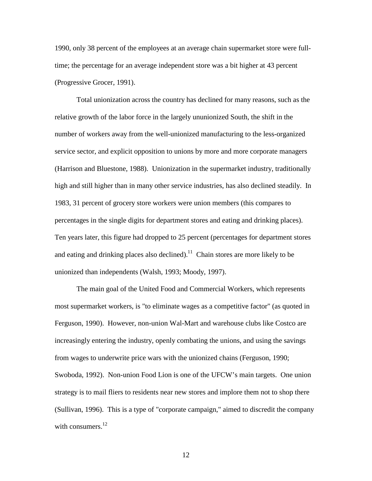1990, only 38 percent of the employees at an average chain supermarket store were fulltime; the percentage for an average independent store was a bit higher at 43 percent (Progressive Grocer, 1991).

Total unionization across the country has declined for many reasons, such as the relative growth of the labor force in the largely ununionized South, the shift in the number of workers away from the well-unionized manufacturing to the less-organized service sector, and explicit opposition to unions by more and more corporate managers (Harrison and Bluestone, 1988). Unionization in the supermarket industry, traditionally high and still higher than in many other service industries, has also declined steadily. In 1983, 31 percent of grocery store workers were union members (this compares to percentages in the single digits for department stores and eating and drinking places). Ten years later, this figure had dropped to 25 percent (percentages for department stores and eating and drinking places also declined).<sup>11</sup> Chain stores are more likely to be unionized than independents (Walsh, 1993; Moody, 1997).

The main goal of the United Food and Commercial Workers, which represents most supermarket workers, is "to eliminate wages as a competitive factor" (as quoted in Ferguson, 1990). However, non-union Wal-Mart and warehouse clubs like Costco are increasingly entering the industry, openly combating the unions, and using the savings from wages to underwrite price wars with the unionized chains (Ferguson, 1990; Swoboda, 1992). Non-union Food Lion is one of the UFCW's main targets. One union strategy is to mail fliers to residents near new stores and implore them not to shop there (Sullivan, 1996). This is a type of "corporate campaign," aimed to discredit the company with consumers.<sup>12</sup>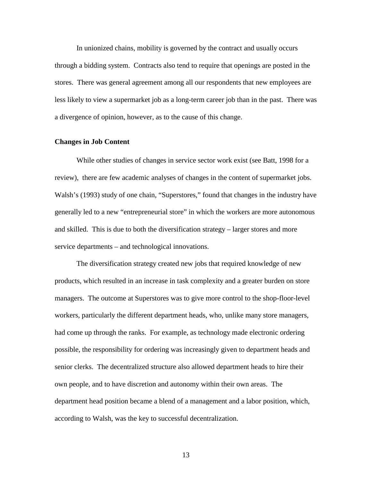In unionized chains, mobility is governed by the contract and usually occurs through a bidding system. Contracts also tend to require that openings are posted in the stores. There was general agreement among all our respondents that new employees are less likely to view a supermarket job as a long-term career job than in the past. There was a divergence of opinion, however, as to the cause of this change.

#### **Changes in Job Content**

While other studies of changes in service sector work exist (see Batt, 1998 for a review), there are few academic analyses of changes in the content of supermarket jobs. Walsh's (1993) study of one chain, "Superstores," found that changes in the industry have generally led to a new "entrepreneurial store" in which the workers are more autonomous and skilled. This is due to both the diversification strategy – larger stores and more service departments – and technological innovations.

The diversification strategy created new jobs that required knowledge of new products, which resulted in an increase in task complexity and a greater burden on store managers. The outcome at Superstores was to give more control to the shop-floor-level workers, particularly the different department heads, who, unlike many store managers, had come up through the ranks. For example, as technology made electronic ordering possible, the responsibility for ordering was increasingly given to department heads and senior clerks. The decentralized structure also allowed department heads to hire their own people, and to have discretion and autonomy within their own areas. The department head position became a blend of a management and a labor position, which, according to Walsh, was the key to successful decentralization.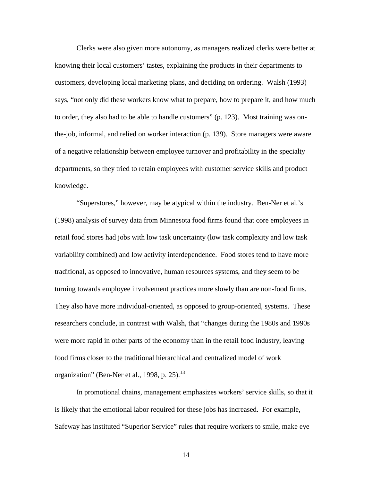Clerks were also given more autonomy, as managers realized clerks were better at knowing their local customers' tastes, explaining the products in their departments to customers, developing local marketing plans, and deciding on ordering. Walsh (1993) says, "not only did these workers know what to prepare, how to prepare it, and how much to order, they also had to be able to handle customers" (p. 123). Most training was onthe-job, informal, and relied on worker interaction (p. 139). Store managers were aware of a negative relationship between employee turnover and profitability in the specialty departments, so they tried to retain employees with customer service skills and product knowledge.

"Superstores," however, may be atypical within the industry. Ben-Ner et al.'s (1998) analysis of survey data from Minnesota food firms found that core employees in retail food stores had jobs with low task uncertainty (low task complexity and low task variability combined) and low activity interdependence. Food stores tend to have more traditional, as opposed to innovative, human resources systems, and they seem to be turning towards employee involvement practices more slowly than are non-food firms. They also have more individual-oriented, as opposed to group-oriented, systems. These researchers conclude, in contrast with Walsh, that "changes during the 1980s and 1990s were more rapid in other parts of the economy than in the retail food industry, leaving food firms closer to the traditional hierarchical and centralized model of work organization" (Ben-Ner et al., 1998, p. 25). $^{13}$ 

In promotional chains, management emphasizes workers' service skills, so that it is likely that the emotional labor required for these jobs has increased. For example, Safeway has instituted "Superior Service" rules that require workers to smile, make eye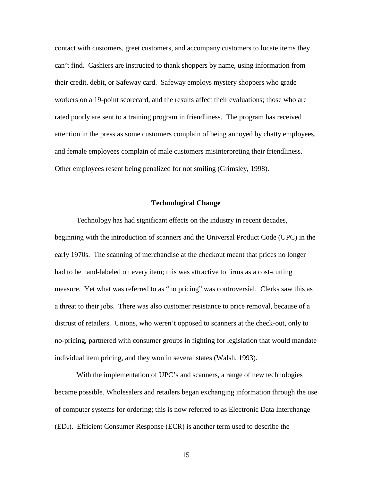contact with customers, greet customers, and accompany customers to locate items they can't find. Cashiers are instructed to thank shoppers by name, using information from their credit, debit, or Safeway card. Safeway employs mystery shoppers who grade workers on a 19-point scorecard, and the results affect their evaluations; those who are rated poorly are sent to a training program in friendliness. The program has received attention in the press as some customers complain of being annoyed by chatty employees, and female employees complain of male customers misinterpreting their friendliness. Other employees resent being penalized for not smiling (Grimsley, 1998).

#### **Technological Change**

Technology has had significant effects on the industry in recent decades, beginning with the introduction of scanners and the Universal Product Code (UPC) in the early 1970s. The scanning of merchandise at the checkout meant that prices no longer had to be hand-labeled on every item; this was attractive to firms as a cost-cutting measure. Yet what was referred to as "no pricing" was controversial. Clerks saw this as a threat to their jobs. There was also customer resistance to price removal, because of a distrust of retailers. Unions, who weren't opposed to scanners at the check-out, only to no-pricing, partnered with consumer groups in fighting for legislation that would mandate individual item pricing, and they won in several states (Walsh, 1993).

With the implementation of UPC's and scanners, a range of new technologies became possible. Wholesalers and retailers began exchanging information through the use of computer systems for ordering; this is now referred to as Electronic Data Interchange (EDI). Efficient Consumer Response (ECR) is another term used to describe the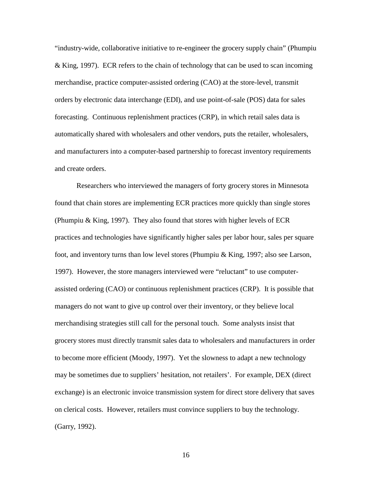"industry-wide, collaborative initiative to re-engineer the grocery supply chain" (Phumpiu & King, 1997). ECR refers to the chain of technology that can be used to scan incoming merchandise, practice computer-assisted ordering (CAO) at the store-level, transmit orders by electronic data interchange (EDI), and use point-of-sale (POS) data for sales forecasting. Continuous replenishment practices (CRP), in which retail sales data is automatically shared with wholesalers and other vendors, puts the retailer, wholesalers, and manufacturers into a computer-based partnership to forecast inventory requirements and create orders.

Researchers who interviewed the managers of forty grocery stores in Minnesota found that chain stores are implementing ECR practices more quickly than single stores (Phumpiu & King, 1997). They also found that stores with higher levels of ECR practices and technologies have significantly higher sales per labor hour, sales per square foot, and inventory turns than low level stores (Phumpiu & King, 1997; also see Larson, 1997). However, the store managers interviewed were "reluctant" to use computerassisted ordering (CAO) or continuous replenishment practices (CRP). It is possible that managers do not want to give up control over their inventory, or they believe local merchandising strategies still call for the personal touch. Some analysts insist that grocery stores must directly transmit sales data to wholesalers and manufacturers in order to become more efficient (Moody, 1997). Yet the slowness to adapt a new technology may be sometimes due to suppliers' hesitation, not retailers'. For example, DEX (direct exchange) is an electronic invoice transmission system for direct store delivery that saves on clerical costs. However, retailers must convince suppliers to buy the technology. (Garry, 1992).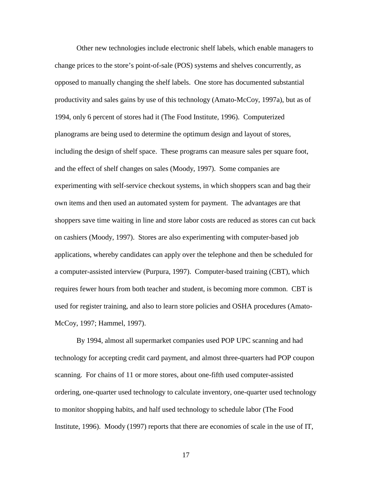Other new technologies include electronic shelf labels, which enable managers to change prices to the store's point-of-sale (POS) systems and shelves concurrently, as opposed to manually changing the shelf labels. One store has documented substantial productivity and sales gains by use of this technology (Amato-McCoy, 1997a), but as of 1994, only 6 percent of stores had it (The Food Institute, 1996). Computerized planograms are being used to determine the optimum design and layout of stores, including the design of shelf space. These programs can measure sales per square foot, and the effect of shelf changes on sales (Moody, 1997). Some companies are experimenting with self-service checkout systems, in which shoppers scan and bag their own items and then used an automated system for payment. The advantages are that shoppers save time waiting in line and store labor costs are reduced as stores can cut back on cashiers (Moody, 1997). Stores are also experimenting with computer-based job applications, whereby candidates can apply over the telephone and then be scheduled for a computer-assisted interview (Purpura, 1997). Computer-based training (CBT), which requires fewer hours from both teacher and student, is becoming more common. CBT is used for register training, and also to learn store policies and OSHA procedures (Amato-McCoy, 1997; Hammel, 1997).

By 1994, almost all supermarket companies used POP UPC scanning and had technology for accepting credit card payment, and almost three-quarters had POP coupon scanning. For chains of 11 or more stores, about one-fifth used computer-assisted ordering, one-quarter used technology to calculate inventory, one-quarter used technology to monitor shopping habits, and half used technology to schedule labor (The Food Institute, 1996). Moody (1997) reports that there are economies of scale in the use of IT,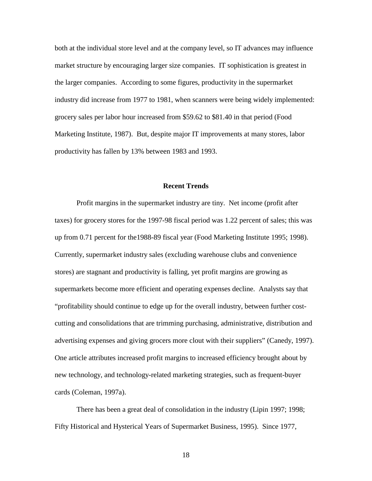both at the individual store level and at the company level, so IT advances may influence market structure by encouraging larger size companies. IT sophistication is greatest in the larger companies. According to some figures, productivity in the supermarket industry did increase from 1977 to 1981, when scanners were being widely implemented: grocery sales per labor hour increased from \$59.62 to \$81.40 in that period (Food Marketing Institute, 1987). But, despite major IT improvements at many stores, labor productivity has fallen by 13% between 1983 and 1993.

#### **Recent Trends**

Profit margins in the supermarket industry are tiny. Net income (profit after taxes) for grocery stores for the 1997-98 fiscal period was 1.22 percent of sales; this was up from 0.71 percent for the1988-89 fiscal year (Food Marketing Institute 1995; 1998). Currently, supermarket industry sales (excluding warehouse clubs and convenience stores) are stagnant and productivity is falling, yet profit margins are growing as supermarkets become more efficient and operating expenses decline. Analysts say that "profitability should continue to edge up for the overall industry, between further costcutting and consolidations that are trimming purchasing, administrative, distribution and advertising expenses and giving grocers more clout with their suppliers" (Canedy, 1997). One article attributes increased profit margins to increased efficiency brought about by new technology, and technology-related marketing strategies, such as frequent-buyer cards (Coleman, 1997a).

There has been a great deal of consolidation in the industry (Lipin 1997; 1998; Fifty Historical and Hysterical Years of Supermarket Business, 1995). Since 1977,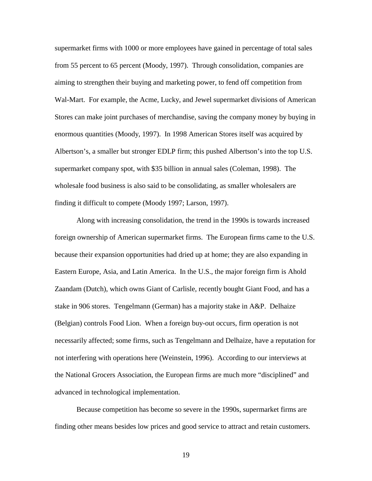supermarket firms with 1000 or more employees have gained in percentage of total sales from 55 percent to 65 percent (Moody, 1997). Through consolidation, companies are aiming to strengthen their buying and marketing power, to fend off competition from Wal-Mart. For example, the Acme, Lucky, and Jewel supermarket divisions of American Stores can make joint purchases of merchandise, saving the company money by buying in enormous quantities (Moody, 1997). In 1998 American Stores itself was acquired by Albertson's, a smaller but stronger EDLP firm; this pushed Albertson's into the top U.S. supermarket company spot, with \$35 billion in annual sales (Coleman, 1998). The wholesale food business is also said to be consolidating, as smaller wholesalers are finding it difficult to compete (Moody 1997; Larson, 1997).

Along with increasing consolidation, the trend in the 1990s is towards increased foreign ownership of American supermarket firms. The European firms came to the U.S. because their expansion opportunities had dried up at home; they are also expanding in Eastern Europe, Asia, and Latin America. In the U.S., the major foreign firm is Ahold Zaandam (Dutch), which owns Giant of Carlisle, recently bought Giant Food, and has a stake in 906 stores. Tengelmann (German) has a majority stake in A&P. Delhaize (Belgian) controls Food Lion. When a foreign buy-out occurs, firm operation is not necessarily affected; some firms, such as Tengelmann and Delhaize, have a reputation for not interfering with operations here (Weinstein, 1996). According to our interviews at the National Grocers Association, the European firms are much more "disciplined" and advanced in technological implementation.

Because competition has become so severe in the 1990s, supermarket firms are finding other means besides low prices and good service to attract and retain customers.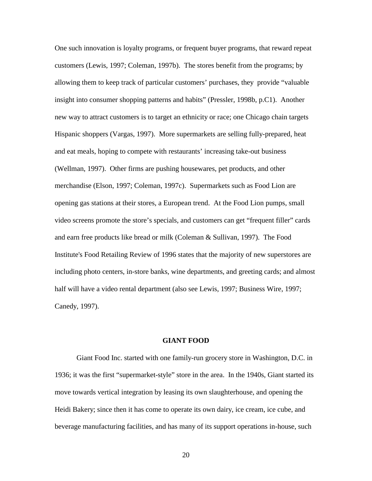One such innovation is loyalty programs, or frequent buyer programs, that reward repeat customers (Lewis, 1997; Coleman, 1997b). The stores benefit from the programs; by allowing them to keep track of particular customers' purchases, they provide "valuable insight into consumer shopping patterns and habits" (Pressler, 1998b, p.C1). Another new way to attract customers is to target an ethnicity or race; one Chicago chain targets Hispanic shoppers (Vargas, 1997).More supermarkets are selling fully-prepared, heat and eat meals, hoping to compete with restaurants' increasing take-out business (Wellman, 1997). Other firms are pushing housewares, pet products, and other merchandise (Elson, 1997; Coleman, 1997c). Supermarkets such as Food Lion are opening gas stations at their stores, a European trend. At the Food Lion pumps, small video screens promote the store's specials, and customers can get "frequent filler" cards and earn free products like bread or milk (Coleman & Sullivan, 1997). The Food Institute's Food Retailing Review of 1996 states that the majority of new superstores are including photo centers, in-store banks, wine departments, and greeting cards; and almost half will have a video rental department (also see Lewis, 1997; Business Wire, 1997; Canedy, 1997).

# **GIANT FOOD**

Giant Food Inc. started with one family-run grocery store in Washington, D.C. in 1936; it was the first "supermarket-style" store in the area. In the 1940s, Giant started its move towards vertical integration by leasing its own slaughterhouse, and opening the Heidi Bakery; since then it has come to operate its own dairy, ice cream, ice cube, and beverage manufacturing facilities, and has many of its support operations in-house, such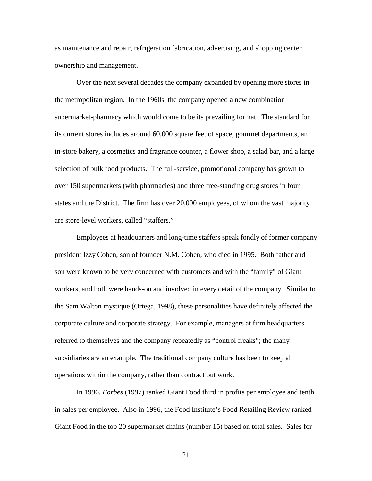as maintenance and repair, refrigeration fabrication, advertising, and shopping center ownership and management.

Over the next several decades the company expanded by opening more stores in the metropolitan region. In the 1960s, the company opened a new combination supermarket-pharmacy which would come to be its prevailing format. The standard for its current stores includes around 60,000 square feet of space, gourmet departments, an in-store bakery, a cosmetics and fragrance counter, a flower shop, a salad bar, and a large selection of bulk food products. The full-service, promotional company has grown to over 150 supermarkets (with pharmacies) and three free-standing drug stores in four states and the District. The firm has over 20,000 employees, of whom the vast majority are store-level workers, called "staffers."

Employees at headquarters and long-time staffers speak fondly of former company president Izzy Cohen, son of founder N.M. Cohen, who died in 1995. Both father and son were known to be very concerned with customers and with the "family" of Giant workers, and both were hands-on and involved in every detail of the company. Similar to the Sam Walton mystique (Ortega, 1998), these personalities have definitely affected the corporate culture and corporate strategy. For example, managers at firm headquarters referred to themselves and the company repeatedly as "control freaks"; the many subsidiaries are an example. The traditional company culture has been to keep all operations within the company, rather than contract out work.

In 1996, *Forbes* (1997) ranked Giant Food third in profits per employee and tenth in sales per employee. Also in 1996, the Food Institute's Food Retailing Review ranked Giant Food in the top 20 supermarket chains (number 15) based on total sales. Sales for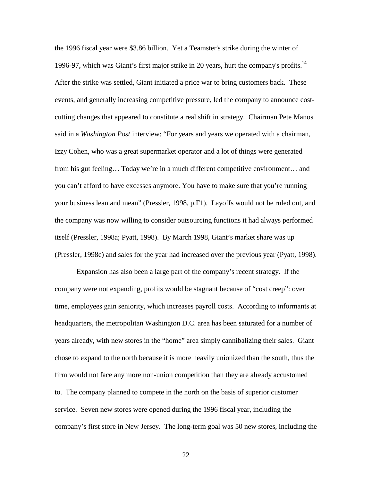the 1996 fiscal year were \$3.86 billion. Yet a Teamster's strike during the winter of 1996-97, which was Giant's first major strike in 20 years, hurt the company's profits. $14$ After the strike was settled, Giant initiated a price war to bring customers back. These events, and generally increasing competitive pressure, led the company to announce costcutting changes that appeared to constitute a real shift in strategy. Chairman Pete Manos said in a *Washington Post* interview: "For years and years we operated with a chairman, Izzy Cohen, who was a great supermarket operator and a lot of things were generated from his gut feeling… Today we're in a much different competitive environment… and you can't afford to have excesses anymore. You have to make sure that you're running your business lean and mean" (Pressler, 1998, p.F1). Layoffs would not be ruled out, and the company was now willing to consider outsourcing functions it had always performed itself (Pressler, 1998a; Pyatt, 1998). By March 1998, Giant's market share was up (Pressler, 1998c) and sales for the year had increased over the previous year (Pyatt, 1998).

Expansion has also been a large part of the company's recent strategy. If the company were not expanding, profits would be stagnant because of "cost creep": over time, employees gain seniority, which increases payroll costs. According to informants at headquarters, the metropolitan Washington D.C. area has been saturated for a number of years already, with new stores in the "home" area simply cannibalizing their sales. Giant chose to expand to the north because it is more heavily unionized than the south, thus the firm would not face any more non-union competition than they are already accustomed to. The company planned to compete in the north on the basis of superior customer service. Seven new stores were opened during the 1996 fiscal year, including the company's first store in New Jersey. The long-term goal was 50 new stores, including the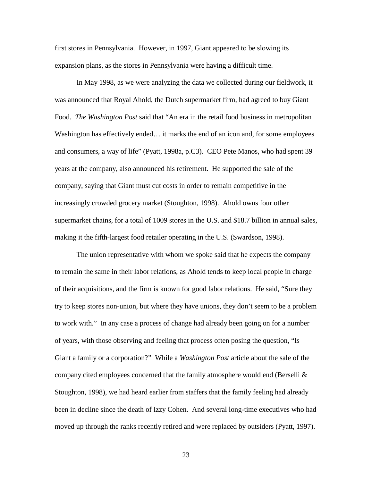first stores in Pennsylvania. However, in 1997, Giant appeared to be slowing its expansion plans, as the stores in Pennsylvania were having a difficult time.

In May 1998, as we were analyzing the data we collected during our fieldwork, it was announced that Royal Ahold, the Dutch supermarket firm, had agreed to buy Giant Food. *The Washington Post* said that "An era in the retail food business in metropolitan Washington has effectively ended… it marks the end of an icon and, for some employees and consumers, a way of life" (Pyatt, 1998a, p.C3). CEO Pete Manos, who had spent 39 years at the company, also announced his retirement. He supported the sale of the company, saying that Giant must cut costs in order to remain competitive in the increasingly crowded grocery market (Stoughton, 1998). Ahold owns four other supermarket chains, for a total of 1009 stores in the U.S. and \$18.7 billion in annual sales, making it the fifth-largest food retailer operating in the U.S. (Swardson, 1998).

The union representative with whom we spoke said that he expects the company to remain the same in their labor relations, as Ahold tends to keep local people in charge of their acquisitions, and the firm is known for good labor relations. He said, "Sure they try to keep stores non-union, but where they have unions, they don't seem to be a problem to work with." In any case a process of change had already been going on for a number of years, with those observing and feeling that process often posing the question, "Is Giant a family or a corporation?" While a *Washington Post* article about the sale of the company cited employees concerned that the family atmosphere would end (Berselli  $\&$ Stoughton, 1998), we had heard earlier from staffers that the family feeling had already been in decline since the death of Izzy Cohen. And several long-time executives who had moved up through the ranks recently retired and were replaced by outsiders (Pyatt, 1997).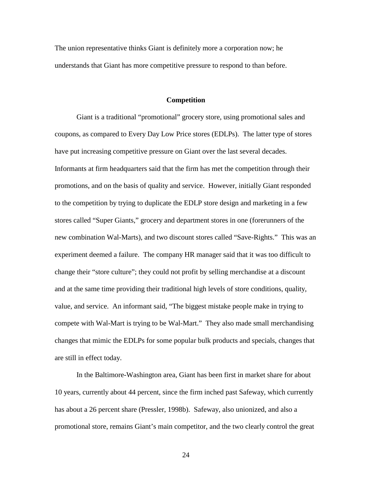The union representative thinks Giant is definitely more a corporation now; he understands that Giant has more competitive pressure to respond to than before.

#### **Competition**

Giant is a traditional "promotional" grocery store, using promotional sales and coupons, as compared to Every Day Low Price stores (EDLPs). The latter type of stores have put increasing competitive pressure on Giant over the last several decades. Informants at firm headquarters said that the firm has met the competition through their promotions, and on the basis of quality and service. However, initially Giant responded to the competition by trying to duplicate the EDLP store design and marketing in a few stores called "Super Giants," grocery and department stores in one (forerunners of the new combination Wal-Marts), and two discount stores called "Save-Rights." This was an experiment deemed a failure. The company HR manager said that it was too difficult to change their "store culture"; they could not profit by selling merchandise at a discount and at the same time providing their traditional high levels of store conditions, quality, value, and service. An informant said, "The biggest mistake people make in trying to compete with Wal-Mart is trying to be Wal-Mart." They also made small merchandising changes that mimic the EDLPs for some popular bulk products and specials, changes that are still in effect today.

In the Baltimore-Washington area, Giant has been first in market share for about 10 years, currently about 44 percent, since the firm inched past Safeway, which currently has about a 26 percent share (Pressler, 1998b). Safeway, also unionized, and also a promotional store, remains Giant's main competitor, and the two clearly control the great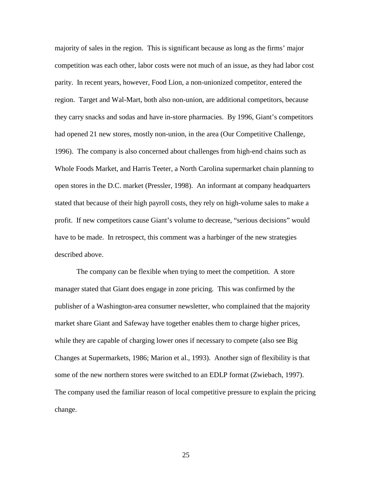majority of sales in the region. This is significant because as long as the firms' major competition was each other, labor costs were not much of an issue, as they had labor cost parity. In recent years, however, Food Lion, a non-unionized competitor, entered the region. Target and Wal-Mart, both also non-union, are additional competitors, because they carry snacks and sodas and have in-store pharmacies. By 1996, Giant's competitors had opened 21 new stores, mostly non-union, in the area (Our Competitive Challenge, 1996). The company is also concerned about challenges from high-end chains such as Whole Foods Market, and Harris Teeter, a North Carolina supermarket chain planning to open stores in the D.C. market (Pressler, 1998). An informant at company headquarters stated that because of their high payroll costs, they rely on high-volume sales to make a profit. If new competitors cause Giant's volume to decrease, "serious decisions" would have to be made. In retrospect, this comment was a harbinger of the new strategies described above.

The company can be flexible when trying to meet the competition. A store manager stated that Giant does engage in zone pricing. This was confirmed by the publisher of a Washington-area consumer newsletter, who complained that the majority market share Giant and Safeway have together enables them to charge higher prices, while they are capable of charging lower ones if necessary to compete (also see Big Changes at Supermarkets, 1986; Marion et al., 1993). Another sign of flexibility is that some of the new northern stores were switched to an EDLP format (Zwiebach, 1997). The company used the familiar reason of local competitive pressure to explain the pricing change.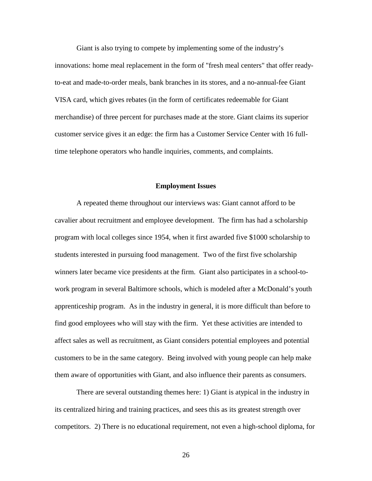Giant is also trying to compete by implementing some of the industry's innovations: home meal replacement in the form of "fresh meal centers" that offer readyto-eat and made-to-order meals, bank branches in its stores, and a no-annual-fee Giant VISA card, which gives rebates (in the form of certificates redeemable for Giant merchandise) of three percent for purchases made at the store. Giant claims its superior customer service gives it an edge: the firm has a Customer Service Center with 16 fulltime telephone operators who handle inquiries, comments, and complaints.

#### **Employment Issues**

A repeated theme throughout our interviews was: Giant cannot afford to be cavalier about recruitment and employee development. The firm has had a scholarship program with local colleges since 1954, when it first awarded five \$1000 scholarship to students interested in pursuing food management. Two of the first five scholarship winners later became vice presidents at the firm. Giant also participates in a school-towork program in several Baltimore schools, which is modeled after a McDonald's youth apprenticeship program. As in the industry in general, it is more difficult than before to find good employees who will stay with the firm. Yet these activities are intended to affect sales as well as recruitment, as Giant considers potential employees and potential customers to be in the same category. Being involved with young people can help make them aware of opportunities with Giant, and also influence their parents as consumers.

There are several outstanding themes here: 1) Giant is atypical in the industry in its centralized hiring and training practices, and sees this as its greatest strength over competitors. 2) There is no educational requirement, not even a high-school diploma, for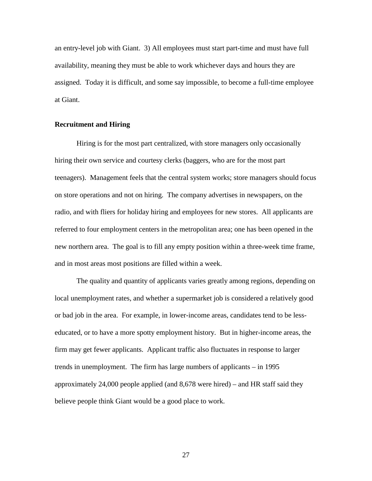an entry-level job with Giant. 3) All employees must start part-time and must have full availability, meaning they must be able to work whichever days and hours they are assigned. Today it is difficult, and some say impossible, to become a full-time employee at Giant.

## **Recruitment and Hiring**

Hiring is for the most part centralized, with store managers only occasionally hiring their own service and courtesy clerks (baggers, who are for the most part teenagers). Management feels that the central system works; store managers should focus on store operations and not on hiring. The company advertises in newspapers, on the radio, and with fliers for holiday hiring and employees for new stores. All applicants are referred to four employment centers in the metropolitan area; one has been opened in the new northern area. The goal is to fill any empty position within a three-week time frame, and in most areas most positions are filled within a week.

The quality and quantity of applicants varies greatly among regions, depending on local unemployment rates, and whether a supermarket job is considered a relatively good or bad job in the area. For example, in lower-income areas, candidates tend to be lesseducated, or to have a more spotty employment history. But in higher-income areas, the firm may get fewer applicants. Applicant traffic also fluctuates in response to larger trends in unemployment. The firm has large numbers of applicants – in 1995 approximately 24,000 people applied (and 8,678 were hired) – and HR staff said they believe people think Giant would be a good place to work.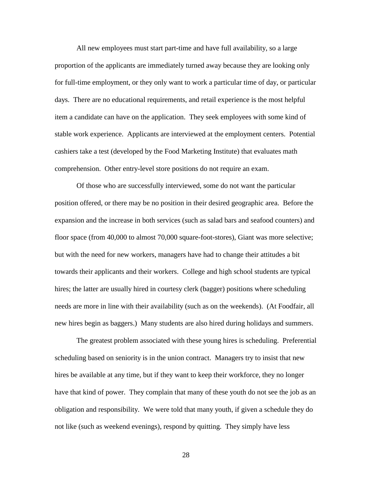All new employees must start part-time and have full availability, so a large proportion of the applicants are immediately turned away because they are looking only for full-time employment, or they only want to work a particular time of day, or particular days. There are no educational requirements, and retail experience is the most helpful item a candidate can have on the application. They seek employees with some kind of stable work experience. Applicants are interviewed at the employment centers. Potential cashiers take a test (developed by the Food Marketing Institute) that evaluates math comprehension. Other entry-level store positions do not require an exam.

Of those who are successfully interviewed, some do not want the particular position offered, or there may be no position in their desired geographic area. Before the expansion and the increase in both services (such as salad bars and seafood counters) and floor space (from 40,000 to almost 70,000 square-foot-stores), Giant was more selective; but with the need for new workers, managers have had to change their attitudes a bit towards their applicants and their workers. College and high school students are typical hires; the latter are usually hired in courtesy clerk (bagger) positions where scheduling needs are more in line with their availability (such as on the weekends). (At Foodfair, all new hires begin as baggers.) Many students are also hired during holidays and summers.

The greatest problem associated with these young hires is scheduling. Preferential scheduling based on seniority is in the union contract. Managers try to insist that new hires be available at any time, but if they want to keep their workforce, they no longer have that kind of power. They complain that many of these youth do not see the job as an obligation and responsibility. We were told that many youth, if given a schedule they do not like (such as weekend evenings), respond by quitting. They simply have less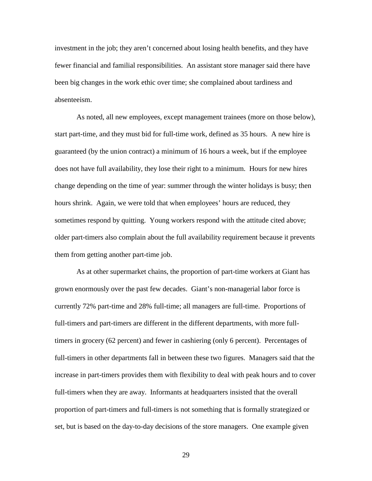investment in the job; they aren't concerned about losing health benefits, and they have fewer financial and familial responsibilities. An assistant store manager said there have been big changes in the work ethic over time; she complained about tardiness and absenteeism.

As noted, all new employees, except management trainees (more on those below), start part-time, and they must bid for full-time work, defined as 35 hours. A new hire is guaranteed (by the union contract) a minimum of 16 hours a week, but if the employee does not have full availability, they lose their right to a minimum. Hours for new hires change depending on the time of year: summer through the winter holidays is busy; then hours shrink. Again, we were told that when employees' hours are reduced, they sometimes respond by quitting. Young workers respond with the attitude cited above; older part-timers also complain about the full availability requirement because it prevents them from getting another part-time job.

As at other supermarket chains, the proportion of part-time workers at Giant has grown enormously over the past few decades. Giant's non-managerial labor force is currently 72% part-time and 28% full-time; all managers are full-time. Proportions of full-timers and part-timers are different in the different departments, with more fulltimers in grocery (62 percent) and fewer in cashiering (only 6 percent). Percentages of full-timers in other departments fall in between these two figures. Managers said that the increase in part-timers provides them with flexibility to deal with peak hours and to cover full-timers when they are away. Informants at headquarters insisted that the overall proportion of part-timers and full-timers is not something that is formally strategized or set, but is based on the day-to-day decisions of the store managers. One example given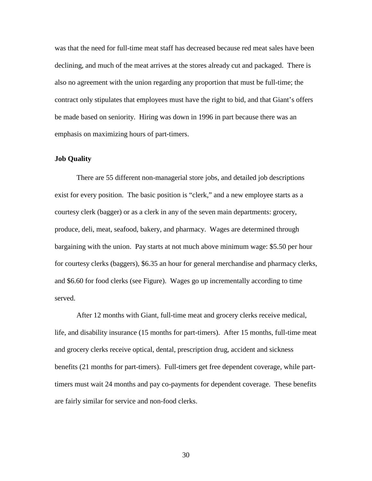was that the need for full-time meat staff has decreased because red meat sales have been declining, and much of the meat arrives at the stores already cut and packaged. There is also no agreement with the union regarding any proportion that must be full-time; the contract only stipulates that employees must have the right to bid, and that Giant's offers be made based on seniority. Hiring was down in 1996 in part because there was an emphasis on maximizing hours of part-timers.

### **Job Quality**

There are 55 different non-managerial store jobs, and detailed job descriptions exist for every position. The basic position is "clerk," and a new employee starts as a courtesy clerk (bagger) or as a clerk in any of the seven main departments: grocery, produce, deli, meat, seafood, bakery, and pharmacy. Wages are determined through bargaining with the union. Pay starts at not much above minimum wage: \$5.50 per hour for courtesy clerks (baggers), \$6.35 an hour for general merchandise and pharmacy clerks, and \$6.60 for food clerks (see Figure). Wages go up incrementally according to time served.

After 12 months with Giant, full-time meat and grocery clerks receive medical, life, and disability insurance (15 months for part-timers). After 15 months, full-time meat and grocery clerks receive optical, dental, prescription drug, accident and sickness benefits (21 months for part-timers). Full-timers get free dependent coverage, while parttimers must wait 24 months and pay co-payments for dependent coverage. These benefits are fairly similar for service and non-food clerks.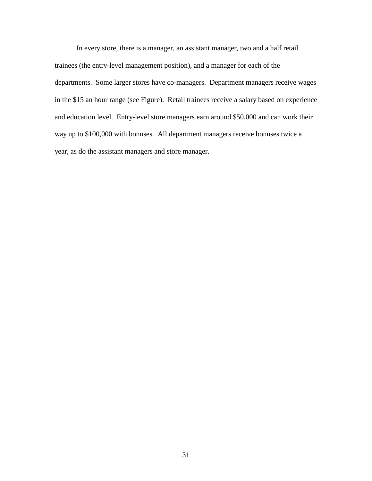In every store, there is a manager, an assistant manager, two and a half retail trainees (the entry-level management position), and a manager for each of the departments. Some larger stores have co-managers. Department managers receive wages in the \$15 an hour range (see Figure). Retail trainees receive a salary based on experience and education level. Entry-level store managers earn around \$50,000 and can work their way up to \$100,000 with bonuses. All department managers receive bonuses twice a year, as do the assistant managers and store manager.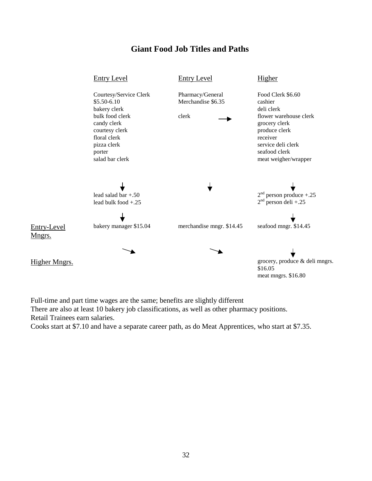# **Giant Food Job Titles and Paths**



Full-time and part time wages are the same; benefits are slightly different There are also at least 10 bakery job classifications, as well as other pharmacy positions. Retail Trainees earn salaries.

Cooks start at \$7.10 and have a separate career path, as do Meat Apprentices, who start at \$7.35.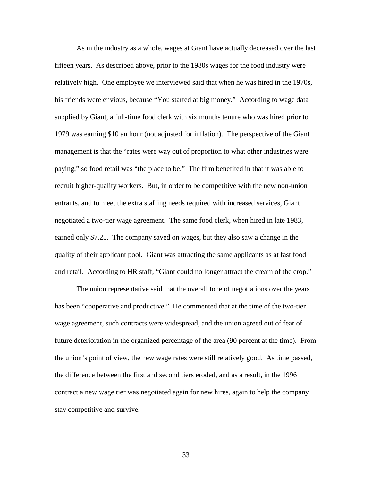As in the industry as a whole, wages at Giant have actually decreased over the last fifteen years. As described above, prior to the 1980s wages for the food industry were relatively high. One employee we interviewed said that when he was hired in the 1970s, his friends were envious, because "You started at big money." According to wage data supplied by Giant, a full-time food clerk with six months tenure who was hired prior to 1979 was earning \$10 an hour (not adjusted for inflation). The perspective of the Giant management is that the "rates were way out of proportion to what other industries were paying," so food retail was "the place to be." The firm benefited in that it was able to recruit higher-quality workers. But, in order to be competitive with the new non-union entrants, and to meet the extra staffing needs required with increased services, Giant negotiated a two-tier wage agreement. The same food clerk, when hired in late 1983, earned only \$7.25. The company saved on wages, but they also saw a change in the quality of their applicant pool. Giant was attracting the same applicants as at fast food and retail. According to HR staff, "Giant could no longer attract the cream of the crop."

The union representative said that the overall tone of negotiations over the years has been "cooperative and productive." He commented that at the time of the two-tier wage agreement, such contracts were widespread, and the union agreed out of fear of future deterioration in the organized percentage of the area (90 percent at the time). From the union's point of view, the new wage rates were still relatively good. As time passed, the difference between the first and second tiers eroded, and as a result, in the 1996 contract a new wage tier was negotiated again for new hires, again to help the company stay competitive and survive.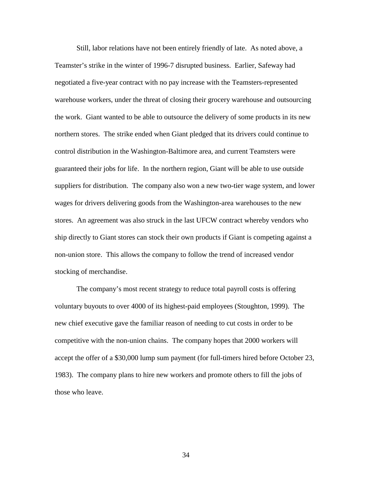Still, labor relations have not been entirely friendly of late. As noted above, a Teamster's strike in the winter of 1996-7 disrupted business. Earlier, Safeway had negotiated a five-year contract with no pay increase with the Teamsters-represented warehouse workers, under the threat of closing their grocery warehouse and outsourcing the work. Giant wanted to be able to outsource the delivery of some products in its new northern stores. The strike ended when Giant pledged that its drivers could continue to control distribution in the Washington-Baltimore area, and current Teamsters were guaranteed their jobs for life. In the northern region, Giant will be able to use outside suppliers for distribution. The company also won a new two-tier wage system, and lower wages for drivers delivering goods from the Washington-area warehouses to the new stores. An agreement was also struck in the last UFCW contract whereby vendors who ship directly to Giant stores can stock their own products if Giant is competing against a non-union store. This allows the company to follow the trend of increased vendor stocking of merchandise.

The company's most recent strategy to reduce total payroll costs is offering voluntary buyouts to over 4000 of its highest-paid employees (Stoughton, 1999). The new chief executive gave the familiar reason of needing to cut costs in order to be competitive with the non-union chains. The company hopes that 2000 workers will accept the offer of a \$30,000 lump sum payment (for full-timers hired before October 23, 1983). The company plans to hire new workers and promote others to fill the jobs of those who leave.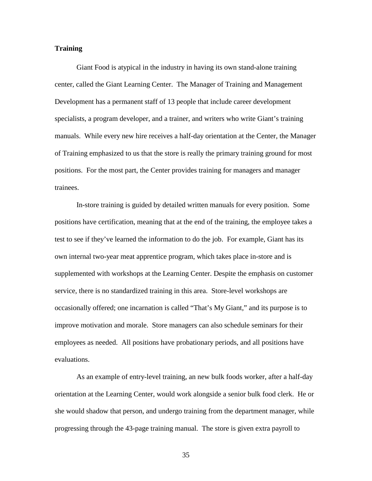## **Training**

Giant Food is atypical in the industry in having its own stand-alone training center, called the Giant Learning Center. The Manager of Training and Management Development has a permanent staff of 13 people that include career development specialists, a program developer, and a trainer, and writers who write Giant's training manuals. While every new hire receives a half-day orientation at the Center, the Manager of Training emphasized to us that the store is really the primary training ground for most positions. For the most part, the Center provides training for managers and manager trainees.

In-store training is guided by detailed written manuals for every position. Some positions have certification, meaning that at the end of the training, the employee takes a test to see if they've learned the information to do the job. For example, Giant has its own internal two-year meat apprentice program, which takes place in-store and is supplemented with workshops at the Learning Center. Despite the emphasis on customer service, there is no standardized training in this area. Store-level workshops are occasionally offered; one incarnation is called "That's My Giant," and its purpose is to improve motivation and morale. Store managers can also schedule seminars for their employees as needed. All positions have probationary periods, and all positions have evaluations.

As an example of entry-level training, an new bulk foods worker, after a half-day orientation at the Learning Center, would work alongside a senior bulk food clerk. He or she would shadow that person, and undergo training from the department manager, while progressing through the 43-page training manual. The store is given extra payroll to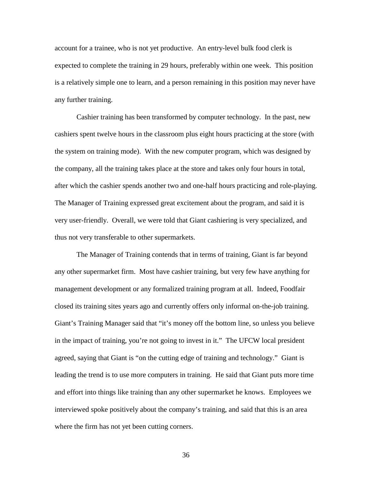account for a trainee, who is not yet productive. An entry-level bulk food clerk is expected to complete the training in 29 hours, preferably within one week. This position is a relatively simple one to learn, and a person remaining in this position may never have any further training.

Cashier training has been transformed by computer technology. In the past, new cashiers spent twelve hours in the classroom plus eight hours practicing at the store (with the system on training mode). With the new computer program, which was designed by the company, all the training takes place at the store and takes only four hours in total, after which the cashier spends another two and one-half hours practicing and role-playing. The Manager of Training expressed great excitement about the program, and said it is very user-friendly. Overall, we were told that Giant cashiering is very specialized, and thus not very transferable to other supermarkets.

The Manager of Training contends that in terms of training, Giant is far beyond any other supermarket firm. Most have cashier training, but very few have anything for management development or any formalized training program at all. Indeed, Foodfair closed its training sites years ago and currently offers only informal on-the-job training. Giant's Training Manager said that "it's money off the bottom line, so unless you believe in the impact of training, you're not going to invest in it." The UFCW local president agreed, saying that Giant is "on the cutting edge of training and technology." Giant is leading the trend is to use more computers in training. He said that Giant puts more time and effort into things like training than any other supermarket he knows. Employees we interviewed spoke positively about the company's training, and said that this is an area where the firm has not yet been cutting corners.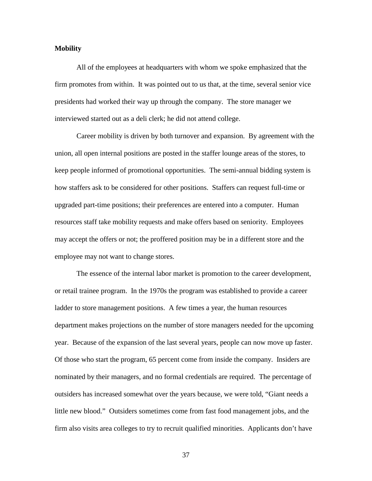## **Mobility**

All of the employees at headquarters with whom we spoke emphasized that the firm promotes from within. It was pointed out to us that, at the time, several senior vice presidents had worked their way up through the company. The store manager we interviewed started out as a deli clerk; he did not attend college.

Career mobility is driven by both turnover and expansion. By agreement with the union, all open internal positions are posted in the staffer lounge areas of the stores, to keep people informed of promotional opportunities. The semi-annual bidding system is how staffers ask to be considered for other positions. Staffers can request full-time or upgraded part-time positions; their preferences are entered into a computer. Human resources staff take mobility requests and make offers based on seniority. Employees may accept the offers or not; the proffered position may be in a different store and the employee may not want to change stores.

The essence of the internal labor market is promotion to the career development, or retail trainee program. In the 1970s the program was established to provide a career ladder to store management positions. A few times a year, the human resources department makes projections on the number of store managers needed for the upcoming year. Because of the expansion of the last several years, people can now move up faster. Of those who start the program, 65 percent come from inside the company. Insiders are nominated by their managers, and no formal credentials are required. The percentage of outsiders has increased somewhat over the years because, we were told, "Giant needs a little new blood." Outsiders sometimes come from fast food management jobs, and the firm also visits area colleges to try to recruit qualified minorities. Applicants don't have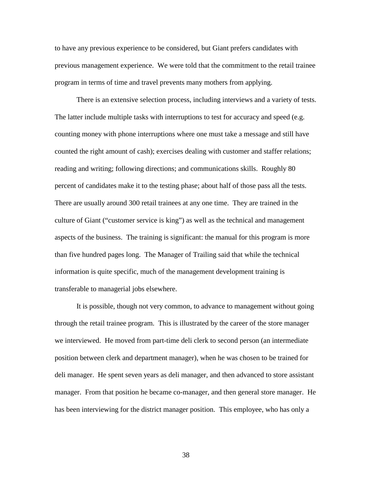to have any previous experience to be considered, but Giant prefers candidates with previous management experience. We were told that the commitment to the retail trainee program in terms of time and travel prevents many mothers from applying.

There is an extensive selection process, including interviews and a variety of tests. The latter include multiple tasks with interruptions to test for accuracy and speed (e.g. counting money with phone interruptions where one must take a message and still have counted the right amount of cash); exercises dealing with customer and staffer relations; reading and writing; following directions; and communications skills. Roughly 80 percent of candidates make it to the testing phase; about half of those pass all the tests. There are usually around 300 retail trainees at any one time. They are trained in the culture of Giant ("customer service is king") as well as the technical and management aspects of the business. The training is significant: the manual for this program is more than five hundred pages long. The Manager of Trailing said that while the technical information is quite specific, much of the management development training is transferable to managerial jobs elsewhere.

It is possible, though not very common, to advance to management without going through the retail trainee program. This is illustrated by the career of the store manager we interviewed. He moved from part-time deli clerk to second person (an intermediate position between clerk and department manager), when he was chosen to be trained for deli manager. He spent seven years as deli manager, and then advanced to store assistant manager. From that position he became co-manager, and then general store manager. He has been interviewing for the district manager position. This employee, who has only a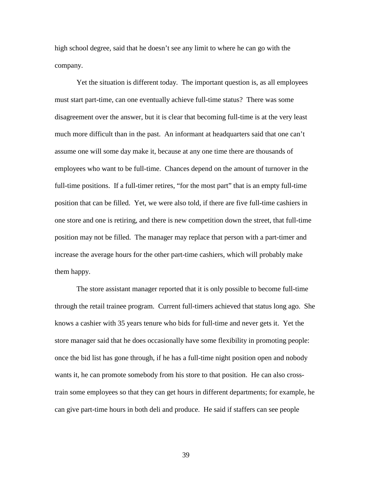high school degree, said that he doesn't see any limit to where he can go with the company.

Yet the situation is different today. The important question is, as all employees must start part-time, can one eventually achieve full-time status? There was some disagreement over the answer, but it is clear that becoming full-time is at the very least much more difficult than in the past. An informant at headquarters said that one can't assume one will some day make it, because at any one time there are thousands of employees who want to be full-time. Chances depend on the amount of turnover in the full-time positions. If a full-timer retires, "for the most part" that is an empty full-time position that can be filled. Yet, we were also told, if there are five full-time cashiers in one store and one is retiring, and there is new competition down the street, that full-time position may not be filled. The manager may replace that person with a part-timer and increase the average hours for the other part-time cashiers, which will probably make them happy.

The store assistant manager reported that it is only possible to become full-time through the retail trainee program. Current full-timers achieved that status long ago. She knows a cashier with 35 years tenure who bids for full-time and never gets it. Yet the store manager said that he does occasionally have some flexibility in promoting people: once the bid list has gone through, if he has a full-time night position open and nobody wants it, he can promote somebody from his store to that position. He can also crosstrain some employees so that they can get hours in different departments; for example, he can give part-time hours in both deli and produce. He said if staffers can see people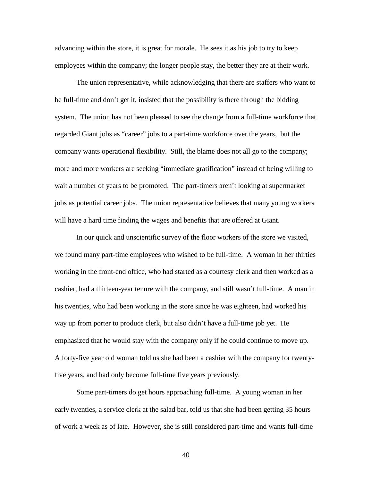advancing within the store, it is great for morale. He sees it as his job to try to keep employees within the company; the longer people stay, the better they are at their work.

The union representative, while acknowledging that there are staffers who want to be full-time and don't get it, insisted that the possibility is there through the bidding system. The union has not been pleased to see the change from a full-time workforce that regarded Giant jobs as "career" jobs to a part-time workforce over the years, but the company wants operational flexibility. Still, the blame does not all go to the company; more and more workers are seeking "immediate gratification" instead of being willing to wait a number of years to be promoted. The part-timers aren't looking at supermarket jobs as potential career jobs. The union representative believes that many young workers will have a hard time finding the wages and benefits that are offered at Giant.

In our quick and unscientific survey of the floor workers of the store we visited, we found many part-time employees who wished to be full-time. A woman in her thirties working in the front-end office, who had started as a courtesy clerk and then worked as a cashier, had a thirteen-year tenure with the company, and still wasn't full-time. A man in his twenties, who had been working in the store since he was eighteen, had worked his way up from porter to produce clerk, but also didn't have a full-time job yet. He emphasized that he would stay with the company only if he could continue to move up. A forty-five year old woman told us she had been a cashier with the company for twentyfive years, and had only become full-time five years previously.

Some part-timers do get hours approaching full-time. A young woman in her early twenties, a service clerk at the salad bar, told us that she had been getting 35 hours of work a week as of late. However, she is still considered part-time and wants full-time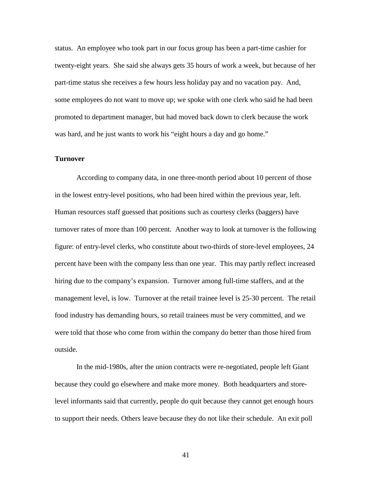status. An employee who took part in our focus group has been a part-time cashier for twenty-eight years. She said she always gets 35 hours of work a week, but because of her part-time status she receives a few hours less holiday pay and no vacation pay. And, some employees do not want to move up; we spoke with one clerk who said he had been promoted to department manager, but had moved back down to clerk because the work was hard, and he just wants to work his "eight hours a day and go home."

#### **Turnover**

According to company data, in one three-month period about 10 percent of those in the lowest entry-level positions, who had been hired within the previous year, left. Human resources staff guessed that positions such as courtesy clerks (baggers) have turnover rates of more than 100 percent. Another way to look at turnover is the following figure: of entry-level clerks, who constitute about two-thirds of store-level employees, 24 percent have been with the company less than one year. This may partly reflect increased hiring due to the company's expansion. Turnover among full-time staffers, and at the management level, is low. Turnover at the retail trainee level is 25-30 percent. The retail food industry has demanding hours, so retail trainees must be very committed, and we were told that those who come from within the company do better than those hired from outside.

In the mid-1980s, after the union contracts were re-negotiated, people left Giant because they could go elsewhere and make more money. Both headquarters and storelevel informants said that currently, people do quit because they cannot get enough hours to support their needs. Others leave because they do not like their schedule. An exit poll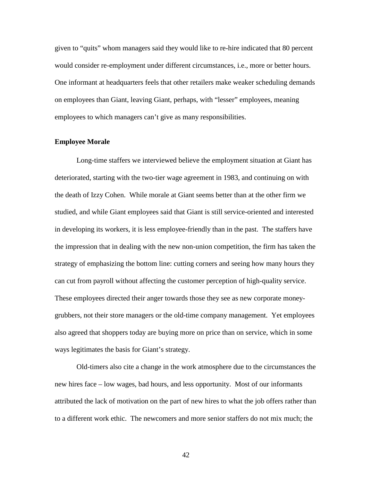given to "quits" whom managers said they would like to re-hire indicated that 80 percent would consider re-employment under different circumstances, i.e., more or better hours. One informant at headquarters feels that other retailers make weaker scheduling demands on employees than Giant, leaving Giant, perhaps, with "lesser" employees, meaning employees to which managers can't give as many responsibilities.

## **Employee Morale**

Long-time staffers we interviewed believe the employment situation at Giant has deteriorated, starting with the two-tier wage agreement in 1983, and continuing on with the death of Izzy Cohen. While morale at Giant seems better than at the other firm we studied, and while Giant employees said that Giant is still service-oriented and interested in developing its workers, it is less employee-friendly than in the past. The staffers have the impression that in dealing with the new non-union competition, the firm has taken the strategy of emphasizing the bottom line: cutting corners and seeing how many hours they can cut from payroll without affecting the customer perception of high-quality service. These employees directed their anger towards those they see as new corporate moneygrubbers, not their store managers or the old-time company management. Yet employees also agreed that shoppers today are buying more on price than on service, which in some ways legitimates the basis for Giant's strategy.

Old-timers also cite a change in the work atmosphere due to the circumstances the new hires face – low wages, bad hours, and less opportunity. Most of our informants attributed the lack of motivation on the part of new hires to what the job offers rather than to a different work ethic. The newcomers and more senior staffers do not mix much; the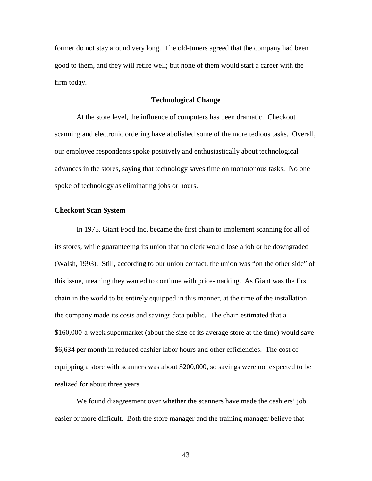former do not stay around very long. The old-timers agreed that the company had been good to them, and they will retire well; but none of them would start a career with the firm today.

## **Technological Change**

At the store level, the influence of computers has been dramatic. Checkout scanning and electronic ordering have abolished some of the more tedious tasks. Overall, our employee respondents spoke positively and enthusiastically about technological advances in the stores, saying that technology saves time on monotonous tasks. No one spoke of technology as eliminating jobs or hours.

## **Checkout Scan System**

In 1975, Giant Food Inc. became the first chain to implement scanning for all of its stores, while guaranteeing its union that no clerk would lose a job or be downgraded (Walsh, 1993). Still, according to our union contact, the union was "on the other side" of this issue, meaning they wanted to continue with price-marking. As Giant was the first chain in the world to be entirely equipped in this manner, at the time of the installation the company made its costs and savings data public. The chain estimated that a \$160,000-a-week supermarket (about the size of its average store at the time) would save \$6,634 per month in reduced cashier labor hours and other efficiencies. The cost of equipping a store with scanners was about \$200,000, so savings were not expected to be realized for about three years.

We found disagreement over whether the scanners have made the cashiers' job easier or more difficult. Both the store manager and the training manager believe that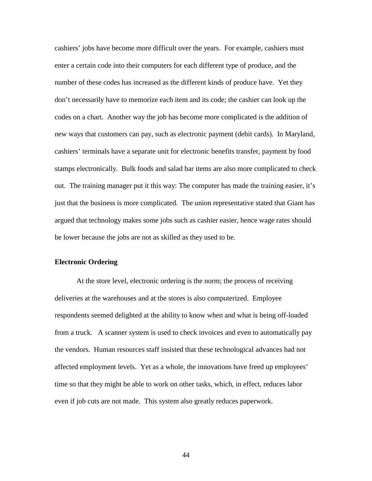cashiers' jobs have become more difficult over the years. For example, cashiers must enter a certain code into their computers for each different type of produce, and the number of these codes has increased as the different kinds of produce have. Yet they don't necessarily have to memorize each item and its code; the cashier can look up the codes on a chart. Another way the job has become more complicated is the addition of new ways that customers can pay, such as electronic payment (debit cards). In Maryland, cashiers' terminals have a separate unit for electronic benefits transfer, payment by food stamps electronically. Bulk foods and salad bar items are also more complicated to check out. The training manager put it this way: The computer has made the training easier, it's just that the business is more complicated. The union representative stated that Giant has argued that technology makes some jobs such as cashier easier, hence wage rates should be lower because the jobs are not as skilled as they used to be.

## **Electronic Ordering**

At the store level, electronic ordering is the norm; the process of receiving deliveries at the warehouses and at the stores is also computerized. Employee respondents seemed delighted at the ability to know when and what is being off-loaded from a truck. A scanner system is used to check invoices and even to automatically pay the vendors. Human resources staff insisted that these technological advances had not affected employment levels. Yet as a whole, the innovations have freed up employees' time so that they might be able to work on other tasks, which, in effect, reduces labor even if job cuts are not made. This system also greatly reduces paperwork.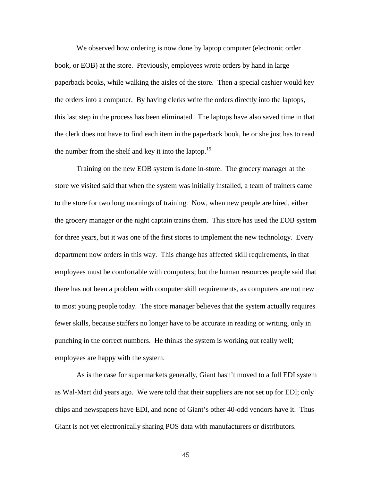We observed how ordering is now done by laptop computer (electronic order book, or EOB) at the store. Previously, employees wrote orders by hand in large paperback books, while walking the aisles of the store. Then a special cashier would key the orders into a computer. By having clerks write the orders directly into the laptops, this last step in the process has been eliminated. The laptops have also saved time in that the clerk does not have to find each item in the paperback book, he or she just has to read the number from the shelf and key it into the laptop.<sup>15</sup>

Training on the new EOB system is done in-store. The grocery manager at the store we visited said that when the system was initially installed, a team of trainers came to the store for two long mornings of training. Now, when new people are hired, either the grocery manager or the night captain trains them. This store has used the EOB system for three years, but it was one of the first stores to implement the new technology. Every department now orders in this way. This change has affected skill requirements, in that employees must be comfortable with computers; but the human resources people said that there has not been a problem with computer skill requirements, as computers are not new to most young people today. The store manager believes that the system actually requires fewer skills, because staffers no longer have to be accurate in reading or writing, only in punching in the correct numbers. He thinks the system is working out really well; employees are happy with the system.

As is the case for supermarkets generally, Giant hasn't moved to a full EDI system as Wal-Mart did years ago. We were told that their suppliers are not set up for EDI; only chips and newspapers have EDI, and none of Giant's other 40-odd vendors have it. Thus Giant is not yet electronically sharing POS data with manufacturers or distributors.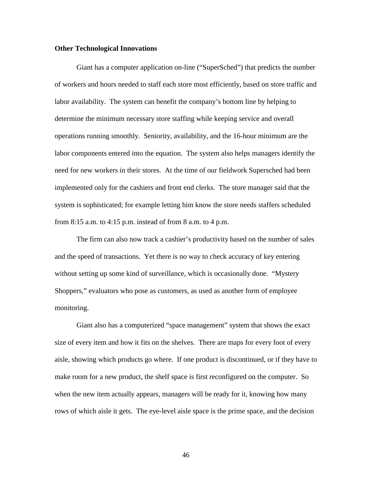#### **Other Technological Innovations**

Giant has a computer application on-line ("SuperSched") that predicts the number of workers and hours needed to staff each store most efficiently, based on store traffic and labor availability. The system can benefit the company's bottom line by helping to determine the minimum necessary store staffing while keeping service and overall operations running smoothly. Seniority, availability, and the 16-hour minimum are the labor components entered into the equation. The system also helps managers identify the need for new workers in their stores. At the time of our fieldwork Supersched had been implemented only for the cashiers and front end clerks. The store manager said that the system is sophisticated; for example letting him know the store needs staffers scheduled from 8:15 a.m. to 4:15 p.m. instead of from 8 a.m. to 4 p.m.

The firm can also now track a cashier's productivity based on the number of sales and the speed of transactions. Yet there is no way to check accuracy of key entering without setting up some kind of surveillance, which is occasionally done. "Mystery Shoppers," evaluators who pose as customers, as used as another form of employee monitoring.

Giant also has a computerized "space management" system that shows the exact size of every item and how it fits on the shelves. There are maps for every foot of every aisle, showing which products go where. If one product is discontinued, or if they have to make room for a new product, the shelf space is first reconfigured on the computer. So when the new item actually appears, managers will be ready for it, knowing how many rows of which aisle it gets. The eye-level aisle space is the prime space, and the decision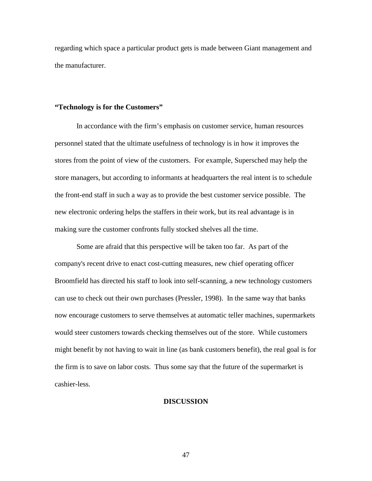regarding which space a particular product gets is made between Giant management and the manufacturer.

## **"Technology is for the Customers"**

In accordance with the firm's emphasis on customer service, human resources personnel stated that the ultimate usefulness of technology is in how it improves the stores from the point of view of the customers. For example, Supersched may help the store managers, but according to informants at headquarters the real intent is to schedule the front-end staff in such a way as to provide the best customer service possible. The new electronic ordering helps the staffers in their work, but its real advantage is in making sure the customer confronts fully stocked shelves all the time.

Some are afraid that this perspective will be taken too far. As part of the company's recent drive to enact cost-cutting measures, new chief operating officer Broomfield has directed his staff to look into self-scanning, a new technology customers can use to check out their own purchases (Pressler, 1998). In the same way that banks now encourage customers to serve themselves at automatic teller machines, supermarkets would steer customers towards checking themselves out of the store. While customers might benefit by not having to wait in line (as bank customers benefit), the real goal is for the firm is to save on labor costs. Thus some say that the future of the supermarket is cashier-less.

## **DISCUSSION**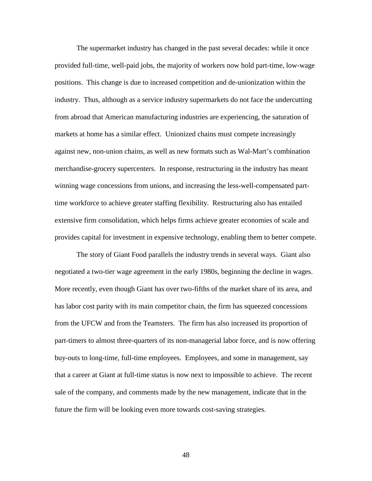The supermarket industry has changed in the past several decades: while it once provided full-time, well-paid jobs, the majority of workers now hold part-time, low-wage positions. This change is due to increased competition and de-unionization within the industry. Thus, although as a service industry supermarkets do not face the undercutting from abroad that American manufacturing industries are experiencing, the saturation of markets at home has a similar effect. Unionized chains must compete increasingly against new, non-union chains, as well as new formats such as Wal-Mart's combination merchandise-grocery supercenters. In response, restructuring in the industry has meant winning wage concessions from unions, and increasing the less-well-compensated parttime workforce to achieve greater staffing flexibility. Restructuring also has entailed extensive firm consolidation, which helps firms achieve greater economies of scale and provides capital for investment in expensive technology, enabling them to better compete.

The story of Giant Food parallels the industry trends in several ways. Giant also negotiated a two-tier wage agreement in the early 1980s, beginning the decline in wages. More recently, even though Giant has over two-fifths of the market share of its area, and has labor cost parity with its main competitor chain, the firm has squeezed concessions from the UFCW and from the Teamsters. The firm has also increased its proportion of part-timers to almost three-quarters of its non-managerial labor force, and is now offering buy-outs to long-time, full-time employees. Employees, and some in management, say that a career at Giant at full-time status is now next to impossible to achieve. The recent sale of the company, and comments made by the new management, indicate that in the future the firm will be looking even more towards cost-saving strategies.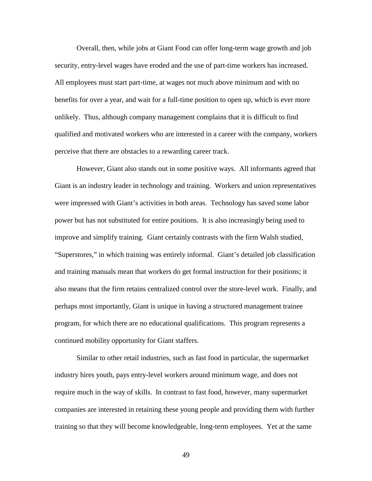Overall, then, while jobs at Giant Food can offer long-term wage growth and job security, entry-level wages have eroded and the use of part-time workers has increased. All employees must start part-time, at wages not much above minimum and with no benefits for over a year, and wait for a full-time position to open up, which is ever more unlikely. Thus, although company management complains that it is difficult to find qualified and motivated workers who are interested in a career with the company, workers perceive that there are obstacles to a rewarding career track.

However, Giant also stands out in some positive ways. All informants agreed that Giant is an industry leader in technology and training. Workers and union representatives were impressed with Giant's activities in both areas. Technology has saved some labor power but has not substituted for entire positions. It is also increasingly being used to improve and simplify training. Giant certainly contrasts with the firm Walsh studied, "Superstores," in which training was entirely informal. Giant's detailed job classification and training manuals mean that workers do get formal instruction for their positions; it also means that the firm retains centralized control over the store-level work. Finally, and perhaps most importantly, Giant is unique in having a structured management trainee program, for which there are no educational qualifications. This program represents a continued mobility opportunity for Giant staffers.

Similar to other retail industries, such as fast food in particular, the supermarket industry hires youth, pays entry-level workers around minimum wage, and does not require much in the way of skills. In contrast to fast food, however, many supermarket companies are interested in retaining these young people and providing them with further training so that they will become knowledgeable, long-term employees. Yet at the same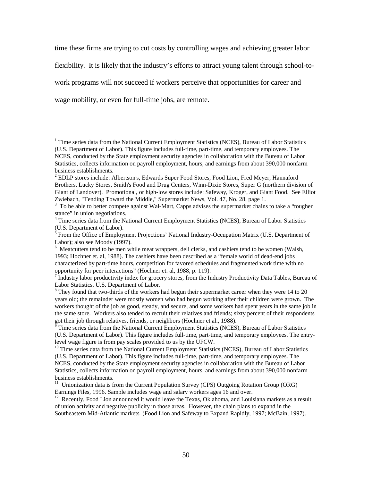time these firms are trying to cut costs by controlling wages and achieving greater labor flexibility. It is likely that the industry's efforts to attract young talent through school-towork programs will not succeed if workers perceive that opportunities for career and wage mobility, or even for full-time jobs, are remote.

 $\overline{a}$ 

<sup>7</sup> Industry labor productivity index for grocery stores, from the Industry Productivity Data Tables, Bureau of Labor Statistics, U.S. Department of Labor.

<sup>&</sup>lt;sup>1</sup> Time series data from the National Current Employment Statistics (NCES), Bureau of Labor Statistics (U.S. Department of Labor). This figure includes full-time, part-time, and temporary employees. The NCES, conducted by the State employment security agencies in collaboration with the Bureau of Labor Statistics, collects information on payroll employment, hours, and earnings from about 390,000 nonfarm business establishments.

<sup>&</sup>lt;sup>2</sup> EDLP stores include: Albertson's, Edwards Super Food Stores, Food Lion, Fred Meyer, Hannaford Brothers, Lucky Stores, Smith's Food and Drug Centers, Winn-Dixie Stores, Super G (northern division of Giant of Landover). Promotional, or high-low stores include: Safeway, Kroger, and Giant Food. See Elliot Zwiebach, "Tending Toward the Middle," Supermarket News, Vol. 47, No. 28, page 1.

<sup>3</sup> To be able to better compete against Wal-Mart, Capps advises the supermarket chains to take a "tougher stance" in union negotiations.

<sup>&</sup>lt;sup>4</sup> Time series data from the National Current Employment Statistics (NCES), Bureau of Labor Statistics (U.S. Department of Labor).

<sup>&</sup>lt;sup>5</sup> From the Office of Employment Projections' National Industry-Occupation Matrix (U.S. Department of Labor); also see Moody (1997).

<sup>&</sup>lt;sup>6</sup> Meatcutters tend to be men while meat wrappers, deli clerks, and cashiers tend to be women (Walsh, 1993; Hochner et. al, 1988). The cashiers have been described as a "female world of dead-end jobs characterized by part-time hours, competition for favored schedules and fragmented work time with no opportunity for peer interactions" (Hochner et. al, 1988, p. 119).

 $8$  They found that two-thirds of the workers had begun their supermarket career when they were 14 to 20 years old; the remainder were mostly women who had begun working after their children were grown. The workers thought of the job as good, steady, and secure, and some workers had spent years in the same job in the same store. Workers also tended to recruit their relatives and friends; sixty percent of their respondents got their job through relatives, friends, or neighbors (Hochner et al., 1988).

Time series data from the National Current Employment Statistics (NCES), Bureau of Labor Statistics (U.S. Department of Labor). This figure includes full-time, part-time, and temporary employees. The entrylevel wage figure is from pay scales provided to us by the UFCW.

 $10$  Time series data from the National Current Employment Statistics (NCES), Bureau of Labor Statistics (U.S. Department of Labor). This figure includes full-time, part-time, and temporary employees. The NCES, conducted by the State employment security agencies in collaboration with the Bureau of Labor Statistics, collects information on payroll employment, hours, and earnings from about 390,000 nonfarm business establishments.

<sup>&</sup>lt;sup>11</sup> Unionization data is from the Current Population Survey (CPS) Outgoing Rotation Group (ORG) Earnings Files, 1996. Sample includes wage and salary workers ages 16 and over.

 $12$  Recently, Food Lion announced it would leave the Texas, Oklahoma, and Louisiana markets as a result of union activity and negative publicity in those areas. However, the chain plans to expand in the Southeastern Mid-Atlantic markets (Food Lion and Safeway to Expand Rapidly, 1997; McBain, 1997).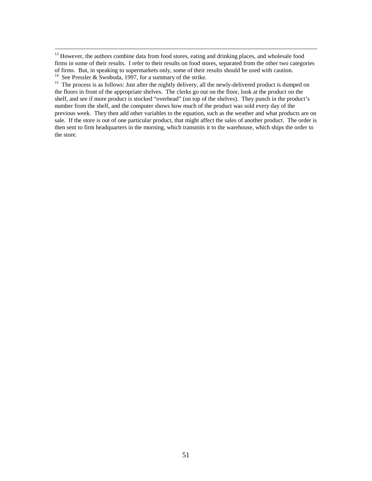<sup>13</sup> However, the authors combine data from food stores, eating and drinking places, and wholesale food firms in some of their results. I refer to their results on food stores, separated from the other two categories of firms. But, in speaking to supermarkets only, some of their results should be used with caution. See Pressler & Swoboda, 1997, for a summary of the strike.

<sup>15</sup> The process is as follows: Just after the nightly delivery, all the newly-delivered product is dumped on the floors in front of the appropriate shelves. The clerks go out on the floor, look at the product on the shelf, and see if more product is stocked "overhead" (on top of the shelves). They punch in the product's number from the shelf, and the computer shows how much of the product was sold every day of the previous week. They then add other variables to the equation, such as the weather and what products are on sale. If the store is out of one particular product, that might affect the sales of another product. The order is then sent to firm headquarters in the morning, which transmits it to the warehouse, which ships the order to the store.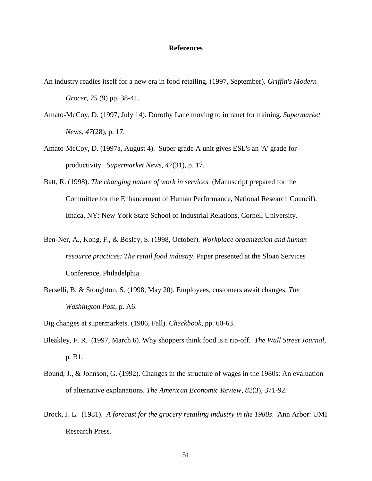#### **References**

An industry readies itself for a new era in food retailing. (1997, September). *Griffin's Modern*

*Grocer*, *75* (9) pp. 38-41.

- Amato-McCoy, D. (1997, July 14). Dorothy Lane moving to intranet for training. *Supermarket Ne*ws, *47*(28), p. 17.
- Amato-McCoy, D. (1997a, August 4). Super grade A unit gives ESL's an 'A' grade for productivity. *Supermarket News*, *47*(31), p. 17.
- Batt, R. (1998). *The changing nature of work in services* (Manuscript prepared for the Committee for the Enhancement of Human Performance, National Research Council). Ithaca, NY: New York State School of Industrial Relations, Cornell University.
- Ben-Ner, A., Kong, F., & Bosley, S. (1998, October). *Workplace organization and human resource practices: The retail food industry*. Paper presented at the Sloan Services Conference, Philadelphia.
- Berselli, B. & Stoughton, S. (1998, May 20). Employees, customers await changes. *The Washington Post*, p. A6.

Big changes at supermarkets. (1986, Fall). *Checkbook*, pp. 60-63.

- Bleakley, F. R. (1997, March 6). Why shoppers think food is a rip-off. *The Wall Street Journal*, p. B1.
- Bound, J., & Johnson, G. (1992). Changes in the structure of wages in the 1980s: An evaluation of alternative explanations. *The American Economic Review*, *82*(3), 371-92.
- Brock, J. L. (1981). *A forecast for the grocery retailing industry in the 1980s*. Ann Arbor: UMI Research Press.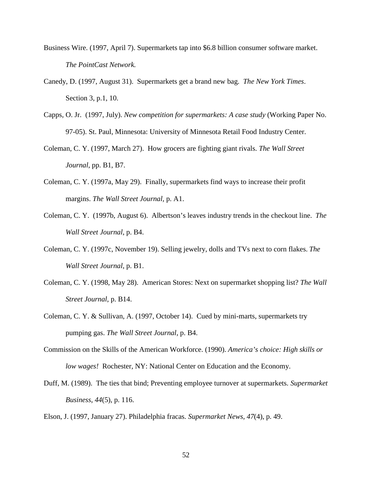- Business Wire. (1997, April 7). Supermarkets tap into \$6.8 billion consumer software market. *The PointCast Network.*
- Canedy, D. (1997, August 31). Supermarkets get a brand new bag. *The New York Times*. Section 3, p.1, 10.
- Capps, O. Jr. (1997, July). *New competition for supermarkets: A case study* (Working Paper No. 97-05). St. Paul, Minnesota: University of Minnesota Retail Food Industry Center.
- Coleman, C. Y. (1997, March 27). How grocers are fighting giant rivals. *The Wall Street Journal*, pp. B1, B7.
- Coleman, C. Y. (1997a, May 29). Finally, supermarkets find ways to increase their profit margins. *The Wall Street Journal,* p. A1.
- Coleman, C. Y. (1997b, August 6). Albertson's leaves industry trends in the checkout line. *The Wall Street Journal*, p. B4.
- Coleman, C. Y. (1997c, November 19). Selling jewelry, dolls and TVs next to corn flakes. *The Wall Street Journal*, p. B1.
- Coleman, C. Y. (1998, May 28). American Stores: Next on supermarket shopping list? *The Wall Street Journal*, p. B14.
- Coleman, C. Y. & Sullivan, A. (1997, October 14). Cued by mini-marts, supermarkets try pumping gas. *The Wall Street Journal*, p. B4.
- Commission on the Skills of the American Workforce. (1990). *America's choice: High skills or low wages!* Rochester, NY: National Center on Education and the Economy.
- Duff, M. (1989). The ties that bind; Preventing employee turnover at supermarkets. *Supermarket Business*, *44*(5), p. 116.
- Elson, J. (1997, January 27). Philadelphia fracas. *Supermarket News, 47*(4), p. 49.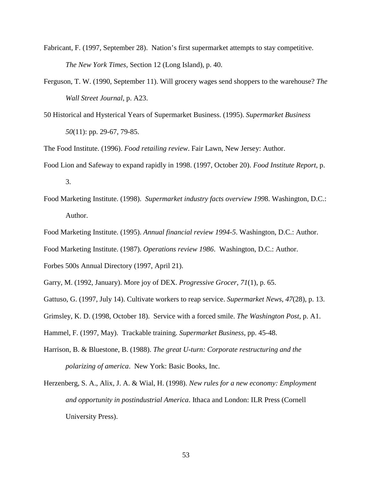- Fabricant, F. (1997, September 28). Nation's first supermarket attempts to stay competitive. *The New York Times,* Section 12 (Long Island), p. 40.
- Ferguson, T. W. (1990, September 11). Will grocery wages send shoppers to the warehouse? *The Wall Street Journal*, p. A23.
- 50 Historical and Hysterical Years of Supermarket Business. (1995). *Supermarket Business 50*(11): pp. 29-67, 79-85.

The Food Institute. (1996). *Food retailing review*. Fair Lawn, New Jersey: Author.

- Food Lion and Safeway to expand rapidly in 1998. (1997, October 20). *Food Institute Report*, p. 3.
- Food Marketing Institute. (1998). *Supermarket industry facts overview 199*8. Washington, D.C.: Author.
- Food Marketing Institute. (1995). *Annual financial review 1994-5*. Washington, D.C.: Author.
- Food Marketing Institute. (1987). *Operations review 1986*. Washington, D.C.: Author.

Forbes 500s Annual Directory (1997, April 21).

- Garry, M. (1992, January). More joy of DEX. *Progressive Grocer*, *71*(1), p. 65.
- Gattuso, G. (1997, July 14). Cultivate workers to reap service. *Supermarket News*, *47*(28), p. 13.
- Grimsley, K. D. (1998, October 18). Service with a forced smile. *The Washington Post*, p. A1.
- Hammel, F. (1997, May). Trackable training. *Supermarket Business*, pp. 45-48.
- Harrison, B. & Bluestone, B. (1988). *The great U-turn: Corporate restructuring and the polarizing of america*. New York: Basic Books, Inc.
- Herzenberg, S. A., Alix, J. A. & Wial, H. (1998). *New rules for a new economy: Employment and opportunity in postindustrial America*. Ithaca and London: ILR Press (Cornell University Press).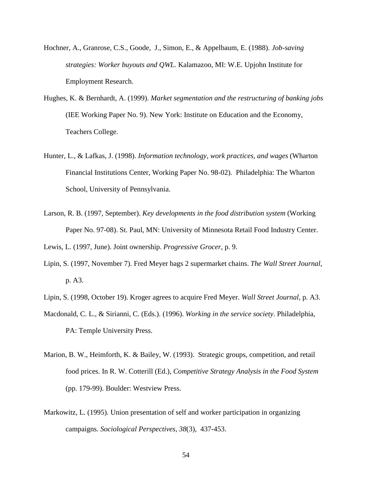- Hochner, A., Granrose, C.S., Goode, J., Simon, E., & Appelbaum, E. (1988). *Job-saving strategies: Worker buyouts and QWL.* Kalamazoo, MI: W.E. Upjohn Institute for Employment Research.
- Hughes, K. & Bernhardt, A. (1999). *Market segmentation and the restructuring of banking jobs* (IEE Working Paper No. 9). New York: Institute on Education and the Economy, Teachers College.
- Hunter, L., & Lafkas, J. (1998). *Information technology, work practices, and wages* (Wharton Financial Institutions Center, Working Paper No. 98-02). Philadelphia: The Wharton School, University of Pennsylvania.
- Larson, R. B. (1997, September). *Key developments in the food distribution system* (Working Paper No. 97-08). St. Paul, MN: University of Minnesota Retail Food Industry Center.

Lewis, L. (1997, June). Joint ownership. *Progressive Grocer*, p. 9.

- Lipin, S. (1997, November 7). Fred Meyer bags 2 supermarket chains. *The Wall Street Journal*, p. A3.
- Lipin, S. (1998, October 19). Kroger agrees to acquire Fred Meyer. *Wall Street Journal*, p. A3.
- Macdonald, C. L., & Sirianni, C. (Eds.). (1996). *Working in the service society*. Philadelphia, PA: Temple University Press.
- Marion, B. W., Heimforth, K. & Bailey, W. (1993). Strategic groups, competition, and retail food prices. In R. W. Cotterill (Ed.), *Competitive Strategy Analysis in the Food System* (pp. 179-99). Boulder: Westview Press.
- Markowitz, L. (1995). Union presentation of self and worker participation in organizing campaigns. *Sociological Perspectives*, *38*(3), 437-453.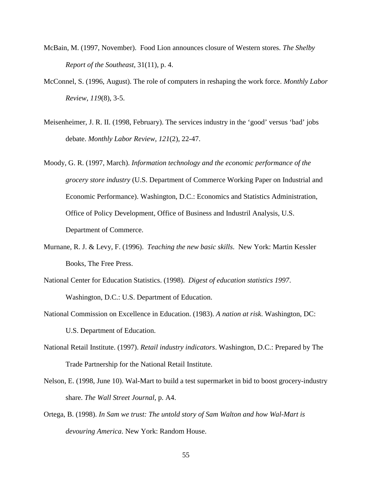- McBain, M. (1997, November). Food Lion announces closure of Western stores. *The Shelby Report of the Southeast*, 31(11), p. 4.
- McConnel, S. (1996, August). The role of computers in reshaping the work force. *Monthly Labor Review*, *119*(8), 3-5.
- Meisenheimer, J. R. II. (1998, February). The services industry in the 'good' versus 'bad' jobs debate. *Monthly Labor Review*, *121*(2), 22-47.
- Moody, G. R. (1997, March). *Information technology and the economic performance of the grocery store industry* (U.S. Department of Commerce Working Paper on Industrial and Economic Performance). Washington, D.C.: Economics and Statistics Administration, Office of Policy Development, Office of Business and Industril Analysis, U.S. Department of Commerce.
- Murnane, R. J. & Levy, F. (1996). *Teaching the new basic skills*. New York: Martin Kessler Books, The Free Press.
- National Center for Education Statistics. (1998). *Digest of education statistics 1997*. Washington, D.C.: U.S. Department of Education.
- National Commission on Excellence in Education. (1983). *A nation at risk*. Washington, DC: U.S. Department of Education.
- National Retail Institute. (1997). *Retail industry indicators*. Washington, D.C.: Prepared by The Trade Partnership for the National Retail Institute.
- Nelson, E. (1998, June 10). Wal-Mart to build a test supermarket in bid to boost grocery-industry share. *The Wall Street Journal*, p. A4.
- Ortega, B. (1998). *In Sam we trust: The untold story of Sam Walton and how Wal-Mart is devouring America*. New York: Random House.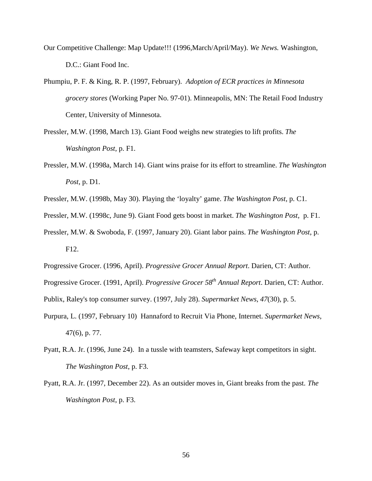- Our Competitive Challenge: Map Update!!! (1996,March/April/May). *We News.* Washington, D.C.: Giant Food Inc.
- Phumpiu, P. F. & King, R. P. (1997, February). *Adoption of ECR practices in Minnesota grocery stores* (Working Paper No. 97-01). Minneapolis, MN: The Retail Food Industry Center, University of Minnesota.
- Pressler, M.W. (1998, March 13). Giant Food weighs new strategies to lift profits. *The Washington Post*, p. F1.
- Pressler, M.W. (1998a, March 14). Giant wins praise for its effort to streamline. *The Washington Post*, p. D1.
- Pressler, M.W. (1998b, May 30). Playing the 'loyalty' game. *The Washington Post*, p. C1.
- Pressler, M.W. (1998c, June 9). Giant Food gets boost in market. *The Washington Post*, p. F1.
- Pressler, M.W. & Swoboda, F. (1997, January 20). Giant labor pains. *The Washington Post*, p. F12.
- Progressive Grocer. (1996, April). *Progressive Grocer Annual Report*. Darien, CT: Author.
- Progressive Grocer. (1991, April). *Progressive Grocer 58th Annual Report*. Darien, CT: Author.

Publix, Raley's top consumer survey. (1997, July 28). *Supermarket News*, *47*(30), p. 5.

- Purpura, L. (1997, February 10) Hannaford to Recruit Via Phone, Internet. *Supermarket News*, 47(6), p. 77.
- Pyatt, R.A. Jr. (1996, June 24). In a tussle with teamsters, Safeway kept competitors in sight. *The Washington Post*, p. F3.
- Pyatt, R.A. Jr. (1997, December 22). As an outsider moves in, Giant breaks from the past. *The Washington Post*, p. F3.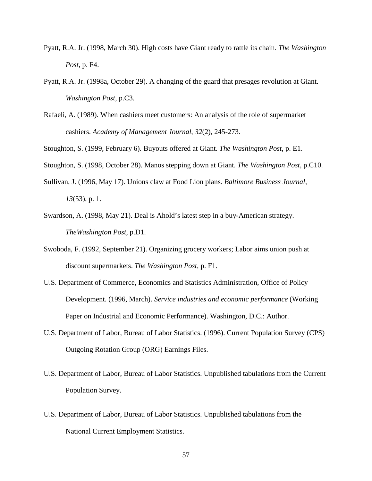- Pyatt, R.A. Jr. (1998, March 30). High costs have Giant ready to rattle its chain. *The Washington Post*, p. F4.
- Pyatt, R.A. Jr. (1998a, October 29). A changing of the guard that presages revolution at Giant. *Washington Post*, p.C3.
- Rafaeli, A. (1989). When cashiers meet customers: An analysis of the role of supermarket cashiers. *Academy of Management Journal*, *32*(2), 245-273.
- Stoughton, S. (1999, February 6). Buyouts offered at Giant. *The Washington Post*, p. E1.
- Stoughton, S. (1998, October 28). Manos stepping down at Giant. *The Washington Post*, p.C10.
- Sullivan, J. (1996, May 17). Unions claw at Food Lion plans. *Baltimore Business Journal*, *13*(53), p. 1.
- Swardson, A. (1998, May 21). Deal is Ahold's latest step in a buy-American strategy. *TheWashington Post*, p.D1.
- Swoboda, F. (1992, September 21). Organizing grocery workers; Labor aims union push at discount supermarkets. *The Washington Post*, p. F1.
- U.S. Department of Commerce, Economics and Statistics Administration, Office of Policy Development. (1996, March). *Service industries and economic performance* (Working Paper on Industrial and Economic Performance). Washington, D.C.: Author.
- U.S. Department of Labor, Bureau of Labor Statistics. (1996). Current Population Survey (CPS) Outgoing Rotation Group (ORG) Earnings Files.
- U.S. Department of Labor, Bureau of Labor Statistics. Unpublished tabulations from the Current Population Survey.
- U.S. Department of Labor, Bureau of Labor Statistics. Unpublished tabulations from the National Current Employment Statistics.